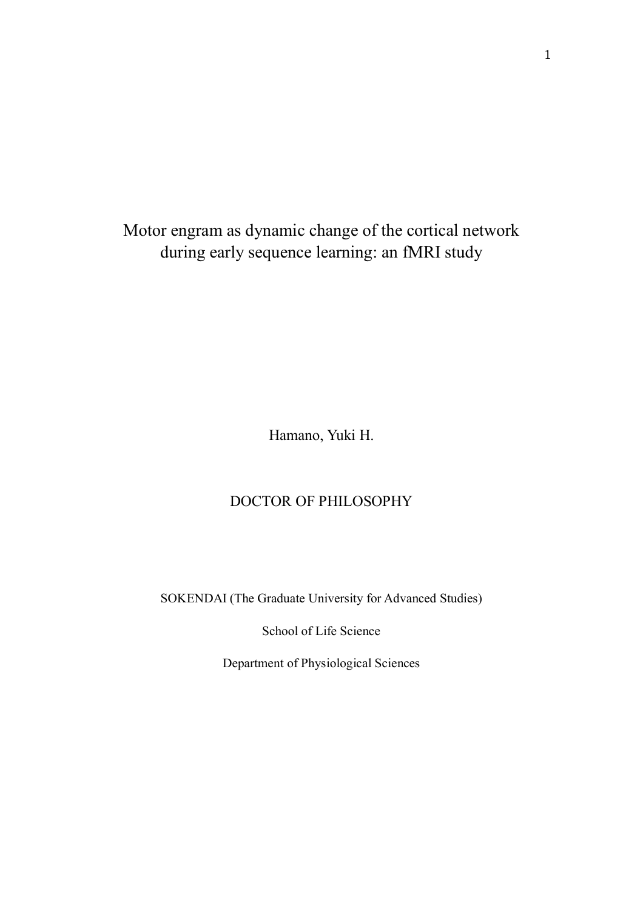Motor engram as dynamic change of the cortical network during early sequence learning: an fMRI study

Hamano, Yuki H.

# DOCTOR OF PHILOSOPHY

SOKENDAI (The Graduate University for Advanced Studies)

School of Life Science

Department of Physiological Sciences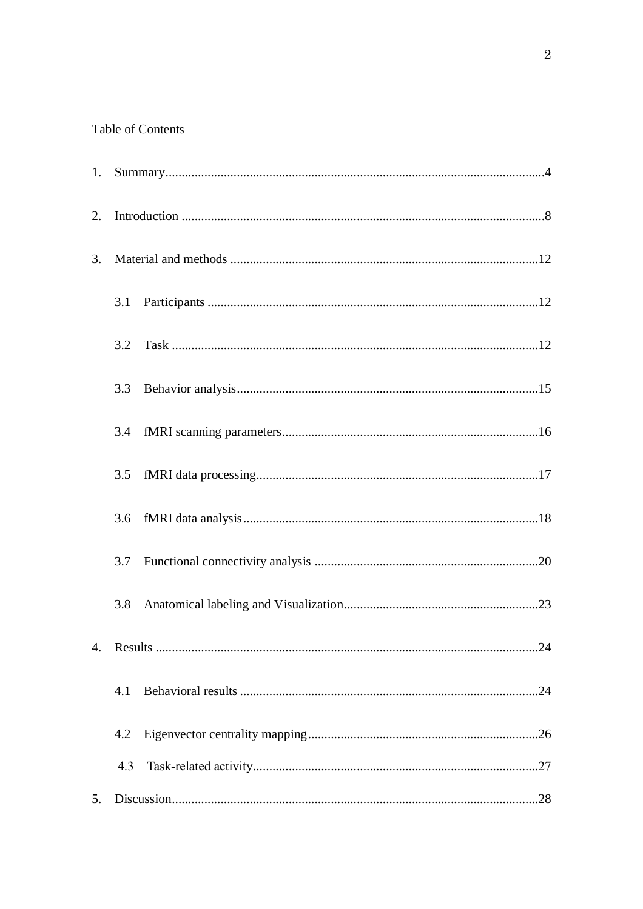# Table of Contents

| 1. |     |  |
|----|-----|--|
| 2. |     |  |
| 3. |     |  |
|    | 3.1 |  |
|    | 3.2 |  |
|    | 3.3 |  |
|    | 3.4 |  |
|    | 3.5 |  |
|    | 3.6 |  |
|    | 3.7 |  |
|    | 3.8 |  |
|    |     |  |
|    | 4.1 |  |
|    | 4.2 |  |
|    | 4.3 |  |
| 5. |     |  |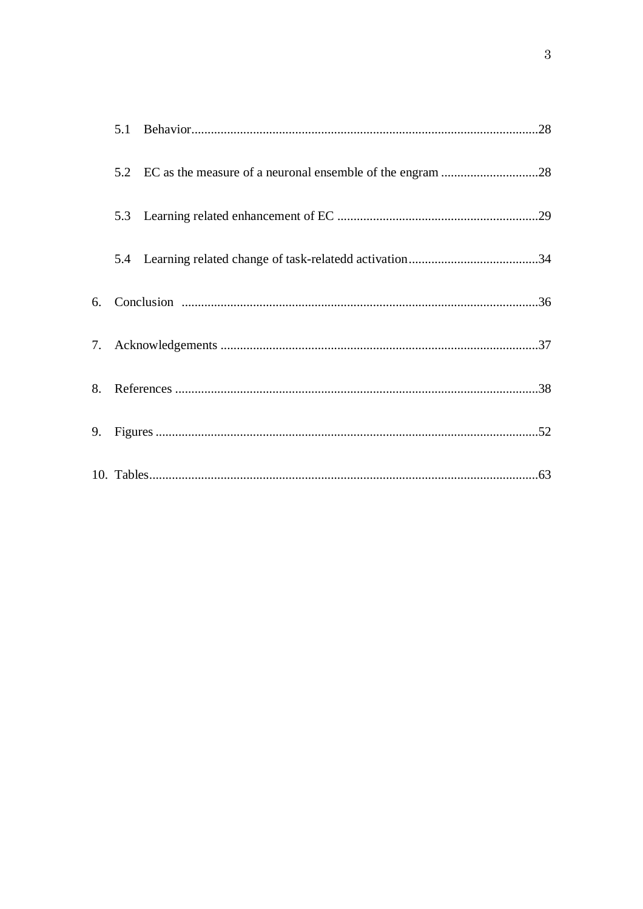|    | 5.1 |  |
|----|-----|--|
|    | 5.2 |  |
|    | 5.3 |  |
|    |     |  |
| 6. |     |  |
| 7. |     |  |
|    |     |  |
| 9. |     |  |
|    |     |  |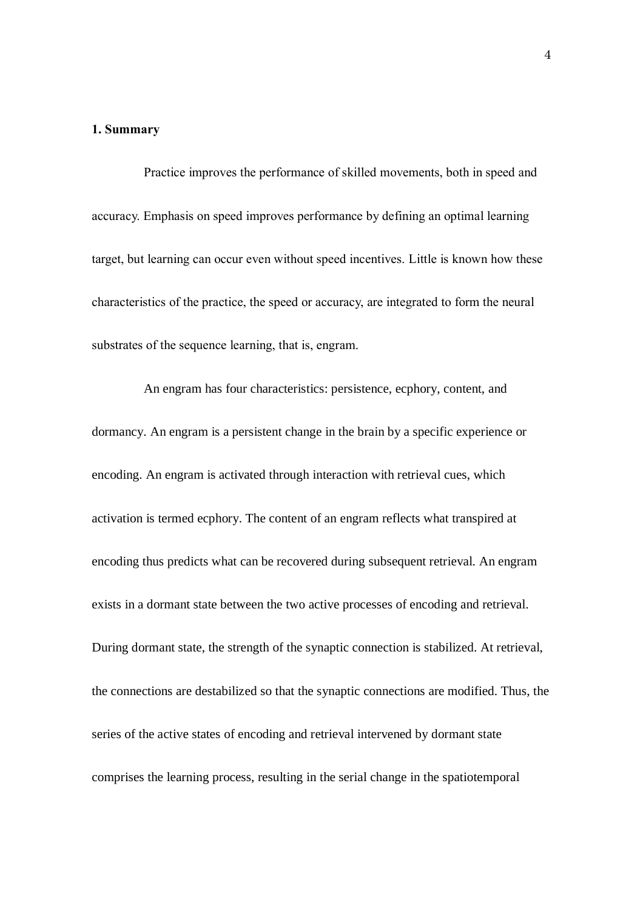#### **1. Summary**

Practice improves the performance of skilled movements, both in speed and accuracy. Emphasis on speed improves performance by defining an optimal learning target, but learning can occur even without speed incentives. Little is known how these characteristics of the practice, the speed or accuracy, are integrated to form the neural substrates of the sequence learning, that is, engram.

An engram has four characteristics: persistence, ecphory, content, and dormancy. An engram is a persistent change in the brain by a specific experience or encoding. An engram is activated through interaction with retrieval cues, which activation is termed ecphory. The content of an engram reflects what transpired at encoding thus predicts what can be recovered during subsequent retrieval. An engram exists in a dormant state between the two active processes of encoding and retrieval. During dormant state, the strength of the synaptic connection is stabilized. At retrieval, the connections are destabilized so that the synaptic connections are modified. Thus, the series of the active states of encoding and retrieval intervened by dormant state comprises the learning process, resulting in the serial change in the spatiotemporal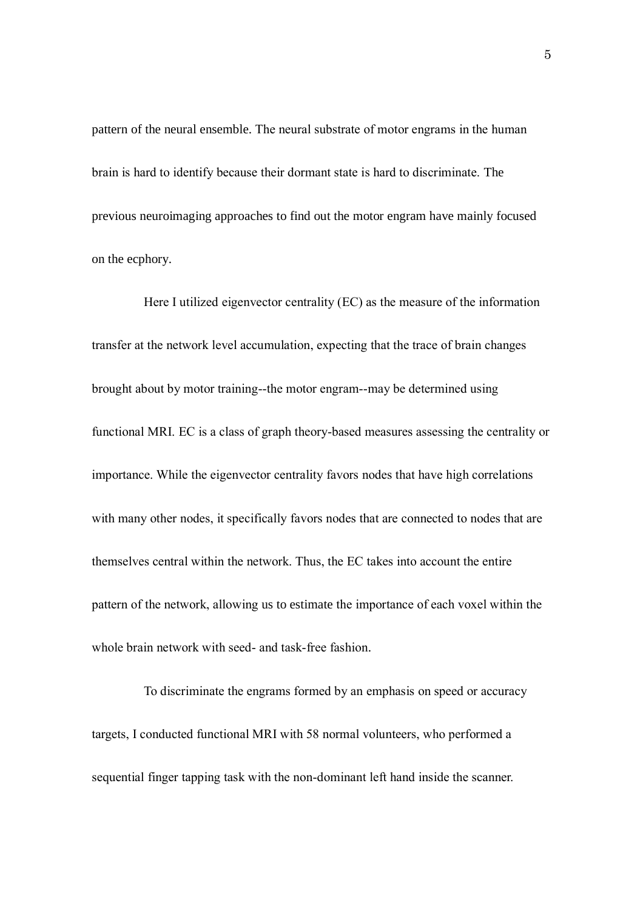pattern of the neural ensemble. The neural substrate of motor engrams in the human brain is hard to identify because their dormant state is hard to discriminate. The previous neuroimaging approaches to find out the motor engram have mainly focused on the ecphory.

Here I utilized eigenvector centrality (EC) as the measure of the information transfer at the network level accumulation, expecting that the trace of brain changes brought about by motor training--the motor engram--may be determined using functional MRI. EC is a class of graph theory-based measures assessing the centrality or importance. While the eigenvector centrality favors nodes that have high correlations with many other nodes, it specifically favors nodes that are connected to nodes that are themselves central within the network. Thus, the EC takes into account the entire pattern of the network, allowing us to estimate the importance of each voxel within the whole brain network with seed- and task-free fashion.

To discriminate the engrams formed by an emphasis on speed or accuracy targets, I conducted functional MRI with 58 normal volunteers, who performed a sequential finger tapping task with the non-dominant left hand inside the scanner.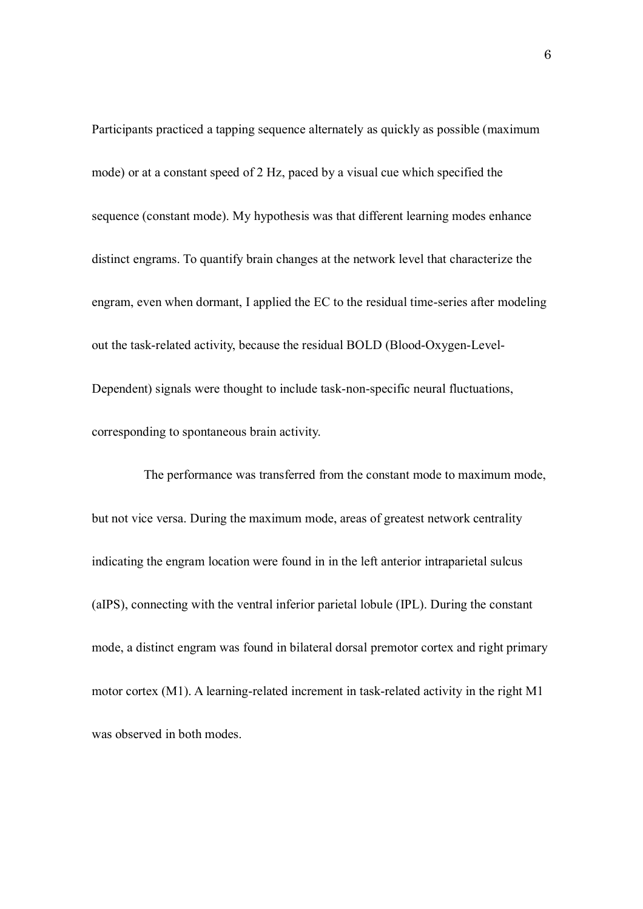Participants practiced a tapping sequence alternately as quickly as possible (maximum mode) or at a constant speed of 2 Hz, paced by a visual cue which specified the sequence (constant mode). My hypothesis was that different learning modes enhance distinct engrams. To quantify brain changes at the network level that characterize the engram, even when dormant, I applied the EC to the residual time-series after modeling out the task-related activity, because the residual BOLD (Blood-Oxygen-Level-Dependent) signals were thought to include task-non-specific neural fluctuations, corresponding to spontaneous brain activity.

The performance was transferred from the constant mode to maximum mode, but not vice versa. During the maximum mode, areas of greatest network centrality indicating the engram location were found in in the left anterior intraparietal sulcus (aIPS), connecting with the ventral inferior parietal lobule (IPL). During the constant mode, a distinct engram was found in bilateral dorsal premotor cortex and right primary motor cortex (M1). A learning-related increment in task-related activity in the right M1 was observed in both modes.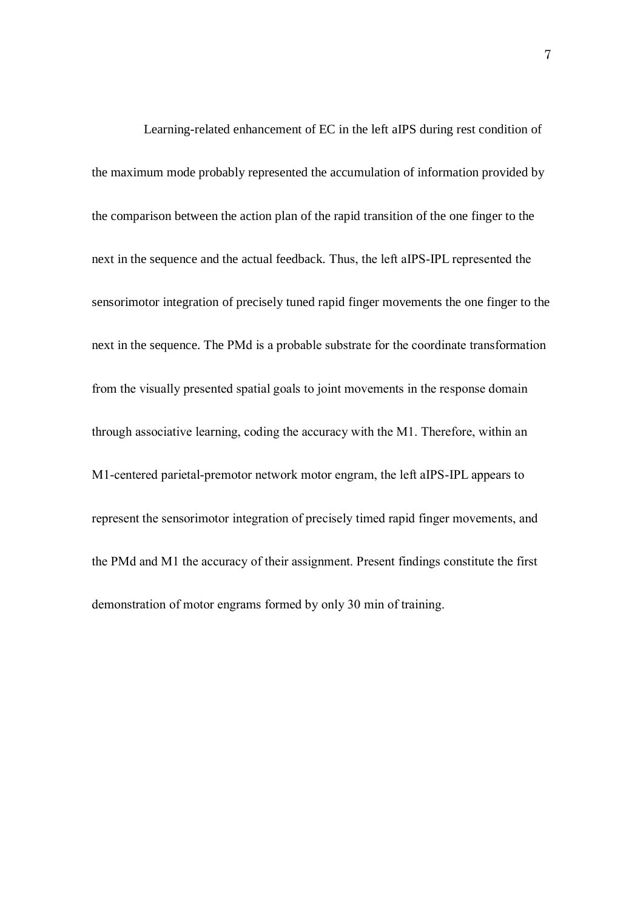Learning-related enhancement of EC in the left aIPS during rest condition of the maximum mode probably represented the accumulation of information provided by the comparison between the action plan of the rapid transition of the one finger to the next in the sequence and the actual feedback. Thus, the left aIPS-IPL represented the sensorimotor integration of precisely tuned rapid finger movements the one finger to the next in the sequence. The PMd is a probable substrate for the coordinate transformation from the visually presented spatial goals to joint movements in the response domain through associative learning, coding the accuracy with the M1. Therefore, within an M1-centered parietal-premotor network motor engram, the left aIPS-IPL appears to represent the sensorimotor integration of precisely timed rapid finger movements, and the PMd and M1 the accuracy of their assignment. Present findings constitute the first demonstration of motor engrams formed by only 30 min of training.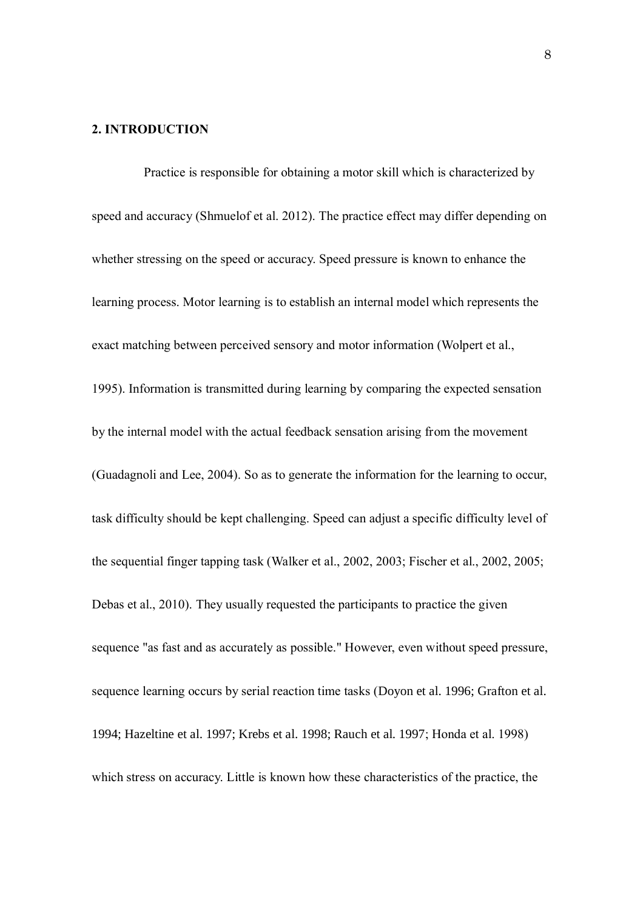### **2. INTRODUCTION**

Practice is responsible for obtaining a motor skill which is characterized by speed and accuracy (Shmuelof et al. 2012). The practice effect may differ depending on whether stressing on the speed or accuracy. Speed pressure is known to enhance the learning process. Motor learning is to establish an internal model which represents the exact matching between perceived sensory and motor information (Wolpert et al., 1995). Information is transmitted during learning by comparing the expected sensation by the internal model with the actual feedback sensation arising from the movement (Guadagnoli and Lee, 2004). So as to generate the information for the learning to occur, task difficulty should be kept challenging. Speed can adjust a specific difficulty level of the sequential finger tapping task (Walker et al., 2002, 2003; Fischer et al., 2002, 2005; Debas et al., 2010). They usually requested the participants to practice the given sequence "as fast and as accurately as possible." However, even without speed pressure, sequence learning occurs by serial reaction time tasks (Doyon et al. 1996; Grafton et al. 1994; Hazeltine et al. 1997; Krebs et al. 1998; Rauch et al. 1997; Honda et al. 1998) which stress on accuracy. Little is known how these characteristics of the practice, the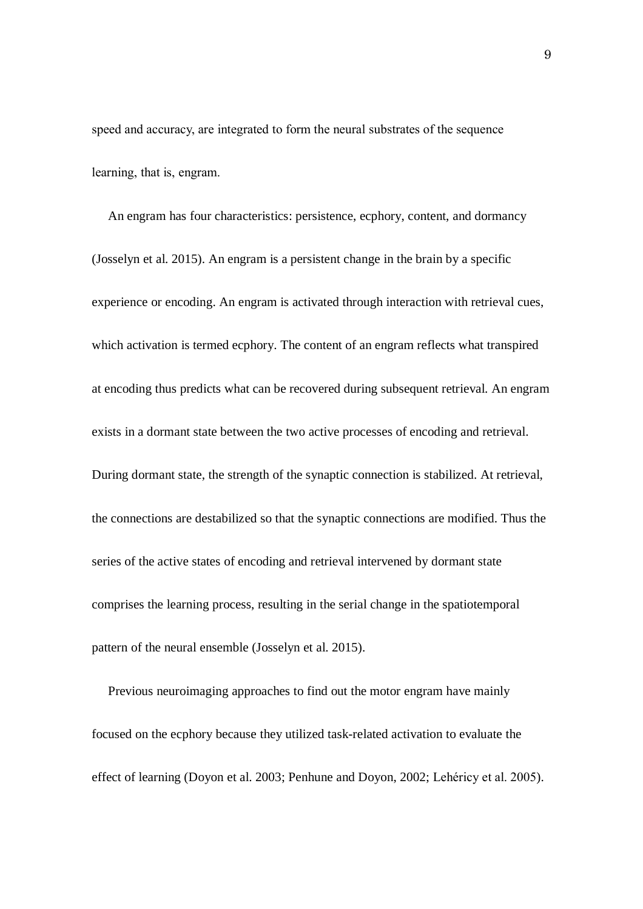speed and accuracy, are integrated to form the neural substrates of the sequence learning, that is, engram.

An engram has four characteristics: persistence, ecphory, content, and dormancy (Josselyn et al. 2015). An engram is a persistent change in the brain by a specific experience or encoding. An engram is activated through interaction with retrieval cues, which activation is termed ecphory. The content of an engram reflects what transpired at encoding thus predicts what can be recovered during subsequent retrieval. An engram exists in a dormant state between the two active processes of encoding and retrieval. During dormant state, the strength of the synaptic connection is stabilized. At retrieval, the connections are destabilized so that the synaptic connections are modified. Thus the series of the active states of encoding and retrieval intervened by dormant state comprises the learning process, resulting in the serial change in the spatiotemporal pattern of the neural ensemble (Josselyn et al. 2015).

Previous neuroimaging approaches to find out the motor engram have mainly focused on the ecphory because they utilized task-related activation to evaluate the effect of learning (Doyon et al. 2003; Penhune and Doyon, 2002; Lehéricy et al. 2005).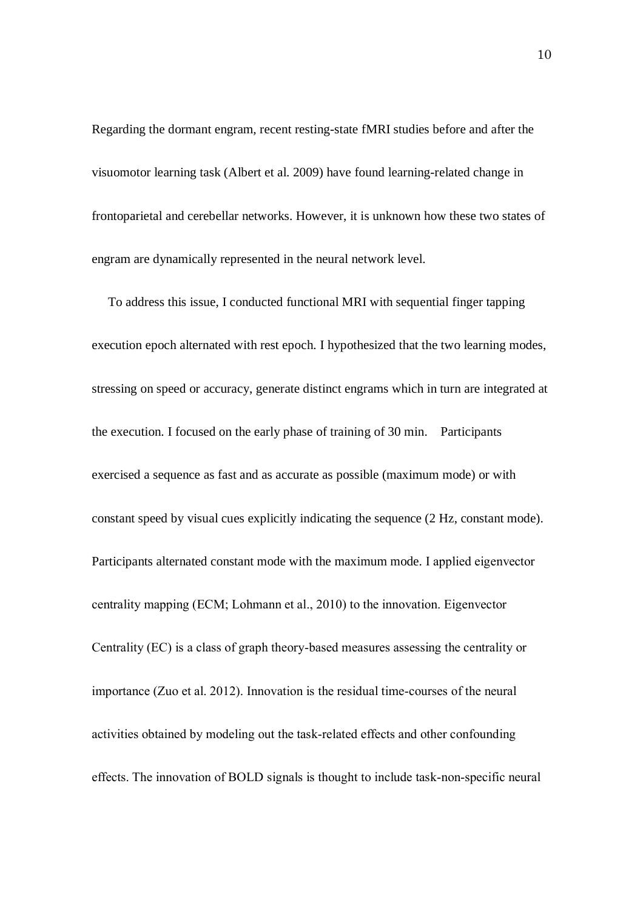Regarding the dormant engram, recent resting-state fMRI studies before and after the visuomotor learning task (Albert et al. 2009) have found learning-related change in frontoparietal and cerebellar networks. However, it is unknown how these two states of engram are dynamically represented in the neural network level.

To address this issue, I conducted functional MRI with sequential finger tapping execution epoch alternated with rest epoch. I hypothesized that the two learning modes, stressing on speed or accuracy, generate distinct engrams which in turn are integrated at the execution. I focused on the early phase of training of 30 min. Participants exercised a sequence as fast and as accurate as possible (maximum mode) or with constant speed by visual cues explicitly indicating the sequence (2 Hz, constant mode). Participants alternated constant mode with the maximum mode. I applied eigenvector centrality mapping (ECM; Lohmann et al., 2010) to the innovation. Eigenvector Centrality (EC) is a class of graph theory-based measures assessing the centrality or importance (Zuo et al. 2012). Innovation is the residual time-courses of the neural activities obtained by modeling out the task-related effects and other confounding effects. The innovation of BOLD signals is thought to include task-non-specific neural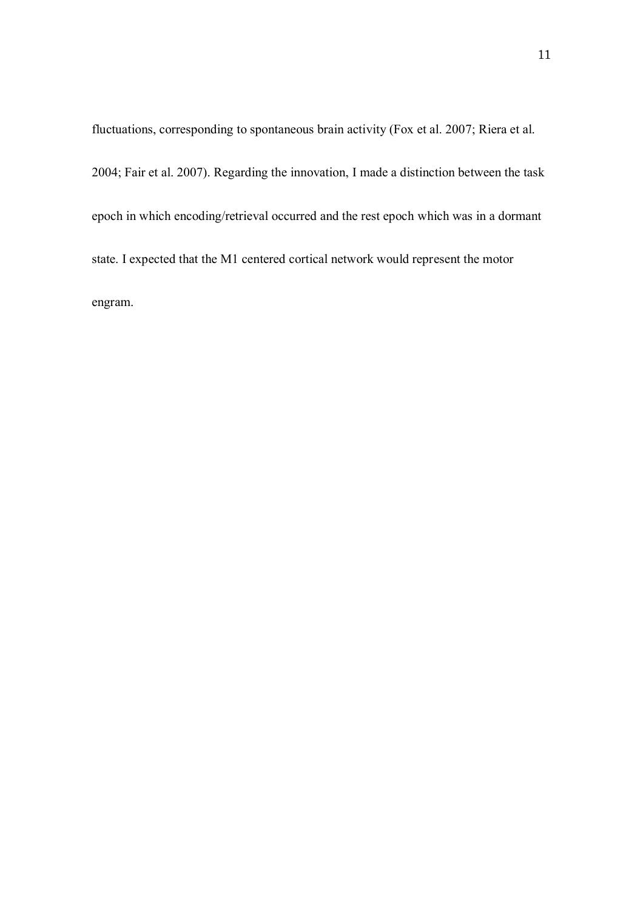fluctuations, corresponding to spontaneous brain activity (Fox et al. 2007; Riera et al. 2004; Fair et al. 2007). Regarding the innovation, I made a distinction between the task epoch in which encoding/retrieval occurred and the rest epoch which was in a dormant state. I expected that the M1 centered cortical network would represent the motor engram.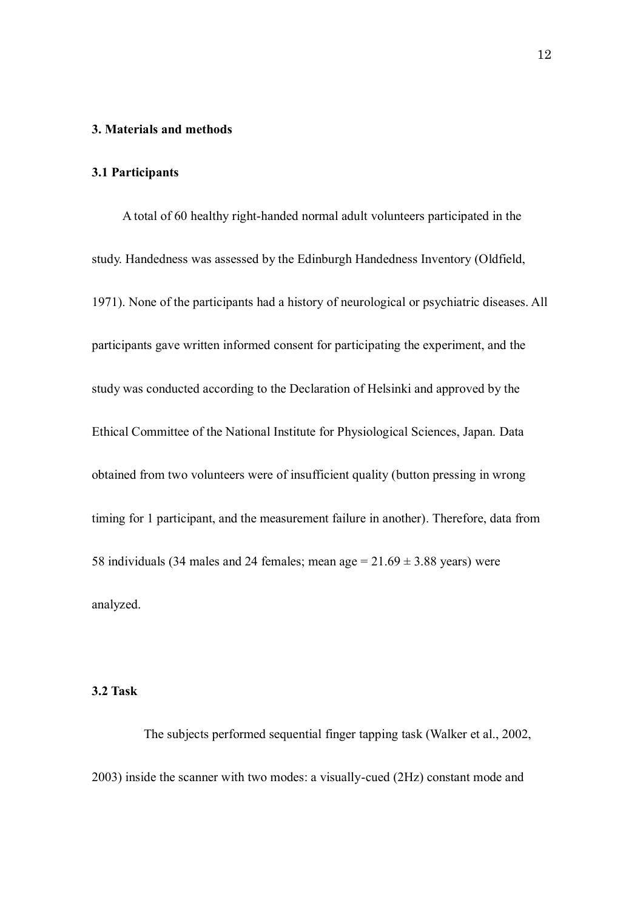#### **3. Materials and methods**

### **3.1 Participants**

A total of 60 healthy right-handed normal adult volunteers participated in the study. Handedness was assessed by the Edinburgh Handedness Inventory (Oldfield, 1971). None of the participants had a history of neurological or psychiatric diseases. All participants gave written informed consent for participating the experiment, and the study was conducted according to the Declaration of Helsinki and approved by the Ethical Committee of the National Institute for Physiological Sciences, Japan. Data obtained from two volunteers were of insufficient quality (button pressing in wrong timing for 1 participant, and the measurement failure in another). Therefore, data from 58 individuals (34 males and 24 females; mean age  $= 21.69 \pm 3.88$  years) were analyzed.

## **3.2 Task**

The subjects performed sequential finger tapping task (Walker et al., 2002, 2003) inside the scanner with two modes: a visually-cued (2Hz) constant mode and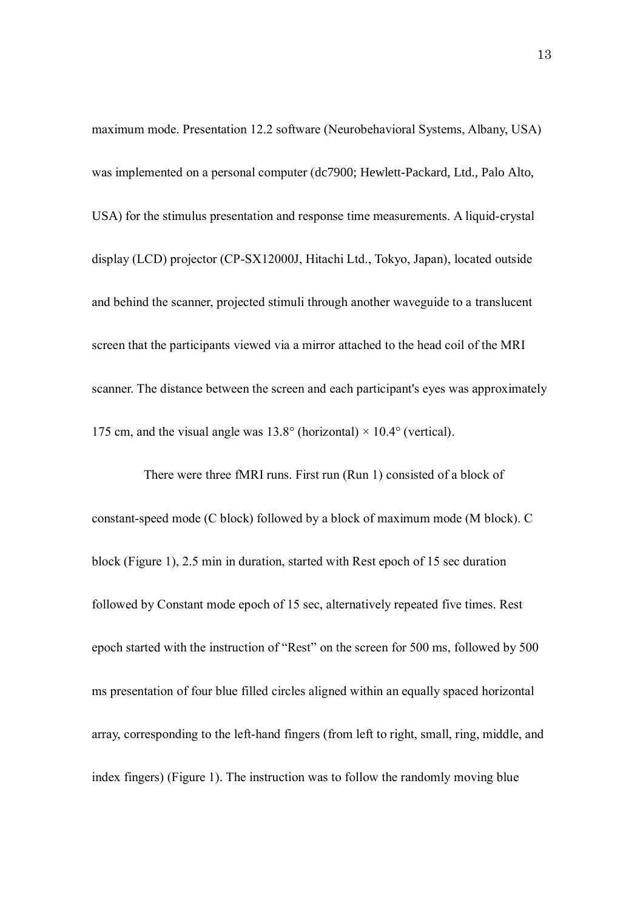maximum mode. Presentation 12.2 software (Neurobehavioral Systems, Albany, USA) was implemented on a personal computer (dc7900; Hewlett-Packard, Ltd., Palo Alto, USA) for the stimulus presentation and response time measurements. A liquid-crystal display (LCD) projector (CP-SX12000J, Hitachi Ltd., Tokyo, Japan), located outside and behind the scanner, projected stimuli through another waveguide to a translucent screen that the participants viewed via a mirror attached to the head coil of the MRI scanner. The distance between the screen and each participant's eyes was approximately 175 cm, and the visual angle was  $13.8^{\circ}$  (horizontal)  $\times$  10.4° (vertical).

There were three fMRI runs. First run (Run 1) consisted of a block of constant-speed mode (C block) followed by a block of maximum mode (M block). C block (Figure 1), 2.5 min in duration, started with Rest epoch of 15 sec duration followed by Constant mode epoch of 15 sec, alternatively repeated five times. Rest epoch started with the instruction of "Rest" on the screen for 500 ms, followed by 500 ms presentation of four blue filled circles aligned within an equally spaced horizontal array, corresponding to the left-hand fingers (from left to right, small, ring, middle, and index fingers) (Figure 1). The instruction was to follow the randomly moving blue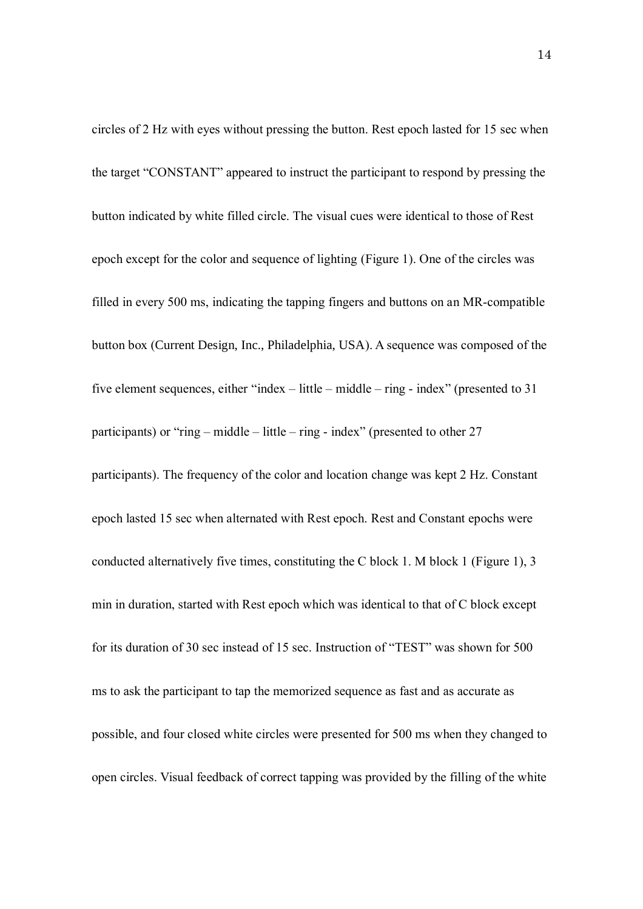circles of 2 Hz with eyes without pressing the button. Rest epoch lasted for 15 sec when the target "CONSTANT" appeared to instruct the participant to respond by pressing the button indicated by white filled circle. The visual cues were identical to those of Rest epoch except for the color and sequence of lighting (Figure 1). One of the circles was filled in every 500 ms, indicating the tapping fingers and buttons on an MR-compatible button box (Current Design, Inc., Philadelphia, USA). A sequence was composed of the five element sequences, either "index – little – middle – ring - index" (presented to 31 participants) or "ring – middle – little – ring - index" (presented to other  $27$ participants). The frequency of the color and location change was kept 2 Hz. Constant epoch lasted 15 sec when alternated with Rest epoch. Rest and Constant epochs were conducted alternatively five times, constituting the C block 1. M block 1 (Figure 1), 3 min in duration, started with Rest epoch which was identical to that of C block except for its duration of 30 sec instead of 15 sec. Instruction of "TEST" was shown for 500 ms to ask the participant to tap the memorized sequence as fast and as accurate as possible, and four closed white circles were presented for 500 ms when they changed to open circles. Visual feedback of correct tapping was provided by the filling of the white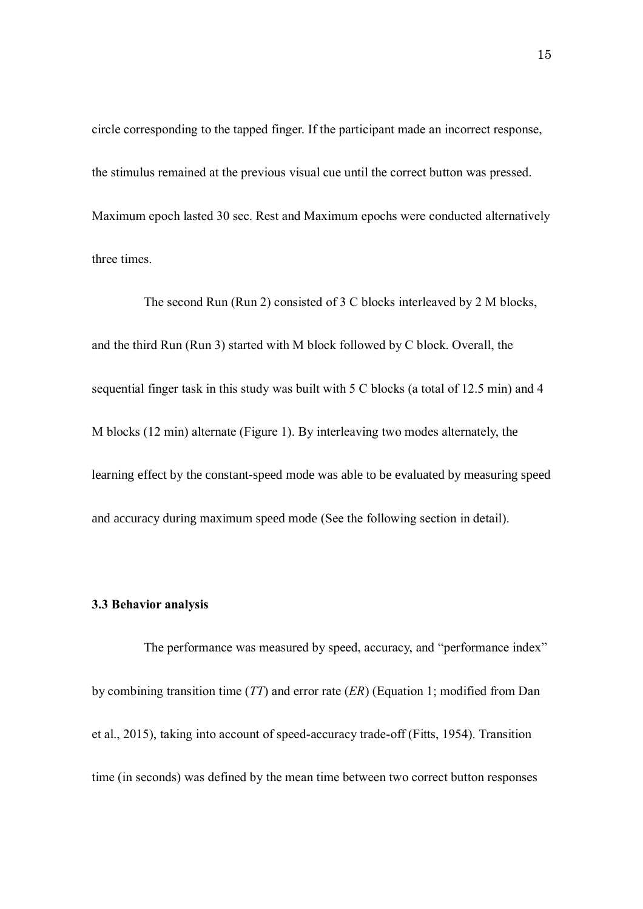circle corresponding to the tapped finger. If the participant made an incorrect response, the stimulus remained at the previous visual cue until the correct button was pressed. Maximum epoch lasted 30 sec. Rest and Maximum epochs were conducted alternatively three times.

The second Run (Run 2) consisted of 3 C blocks interleaved by 2 M blocks, and the third Run (Run 3) started with M block followed by C block. Overall, the sequential finger task in this study was built with 5 C blocks (a total of 12.5 min) and 4 M blocks (12 min) alternate (Figure 1). By interleaving two modes alternately, the learning effect by the constant-speed mode was able to be evaluated by measuring speed and accuracy during maximum speed mode (See the following section in detail).

#### **3.3 Behavior analysis**

The performance was measured by speed, accuracy, and "performance index" by combining transition time (*TT*) and error rate (*ER*) (Equation 1; modified from Dan et al., 2015), taking into account of speed-accuracy trade-off (Fitts, 1954). Transition time (in seconds) was defined by the mean time between two correct button responses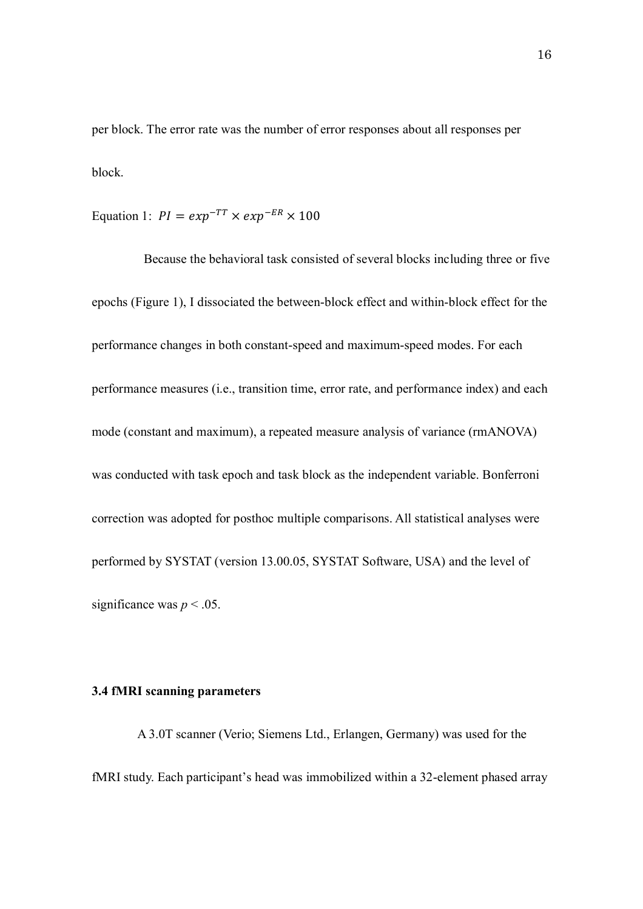per block. The error rate was the number of error responses about all responses per block.

Equation 1:  $PI = exp^{-TT} \times exp^{-ER} \times 100$ 

Because the behavioral task consisted of several blocks including three or five epochs (Figure 1), I dissociated the between-block effect and within-block effect for the performance changes in both constant-speed and maximum-speed modes. For each performance measures (i.e., transition time, error rate, and performance index) and each mode (constant and maximum), a repeated measure analysis of variance (rmANOVA) was conducted with task epoch and task block as the independent variable. Bonferroni correction was adopted for posthoc multiple comparisons. All statistical analyses were performed by SYSTAT (version 13.00.05, SYSTAT Software, USA) and the level of significance was  $p < .05$ .

## **3.4 fMRI scanning parameters**

A 3.0T scanner (Verio; Siemens Ltd., Erlangen, Germany) was used for the fMRI study. Each participant's head was immobilized within a 32-element phased array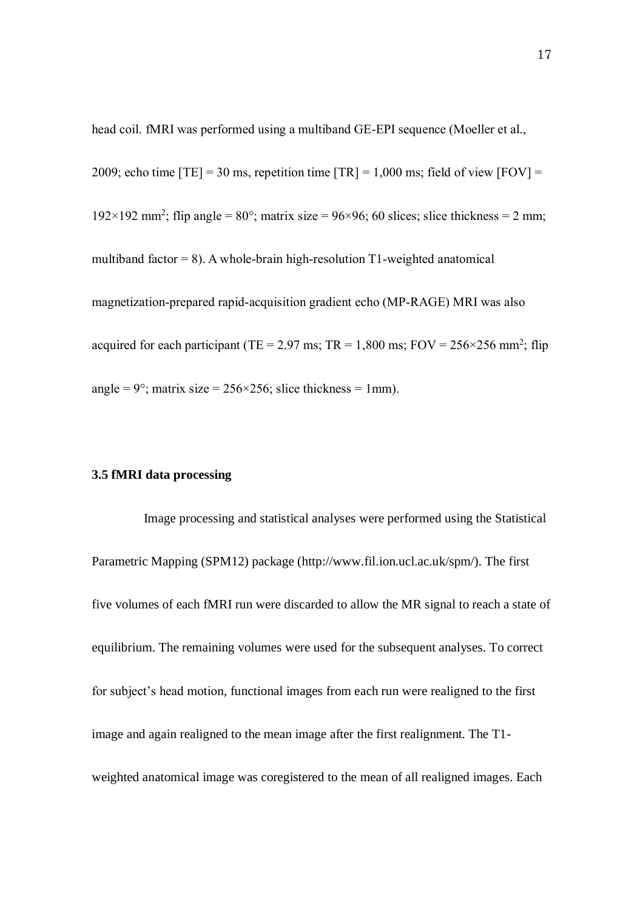head coil. fMRI was performed using a multiband GE-EPI sequence (Moeller et al., 2009; echo time  $[TE] = 30$  ms, repetition time  $[TR] = 1,000$  ms; field of view  $[FOV] =$ 192×192 mm<sup>2</sup>; flip angle = 80°; matrix size = 96×96; 60 slices; slice thickness = 2 mm; multiband factor  $= 8$ ). A whole-brain high-resolution T1-weighted anatomical magnetization-prepared rapid-acquisition gradient echo (MP-RAGE) MRI was also acquired for each participant (TE = 2.97 ms; TR = 1,800 ms; FOV =  $256 \times 256$  mm<sup>2</sup>; flip angle =  $9^\circ$ ; matrix size =  $256 \times 256$ ; slice thickness = 1mm).

## **3.5 fMRI data processing**

Image processing and statistical analyses were performed using the Statistical Parametric Mapping (SPM12) package (http://www.fil.ion.ucl.ac.uk/spm/). The first five volumes of each fMRI run were discarded to allow the MR signal to reach a state of equilibrium. The remaining volumes were used for the subsequent analyses. To correct for subject's head motion, functional images from each run were realigned to the first image and again realigned to the mean image after the first realignment. The T1 weighted anatomical image was coregistered to the mean of all realigned images. Each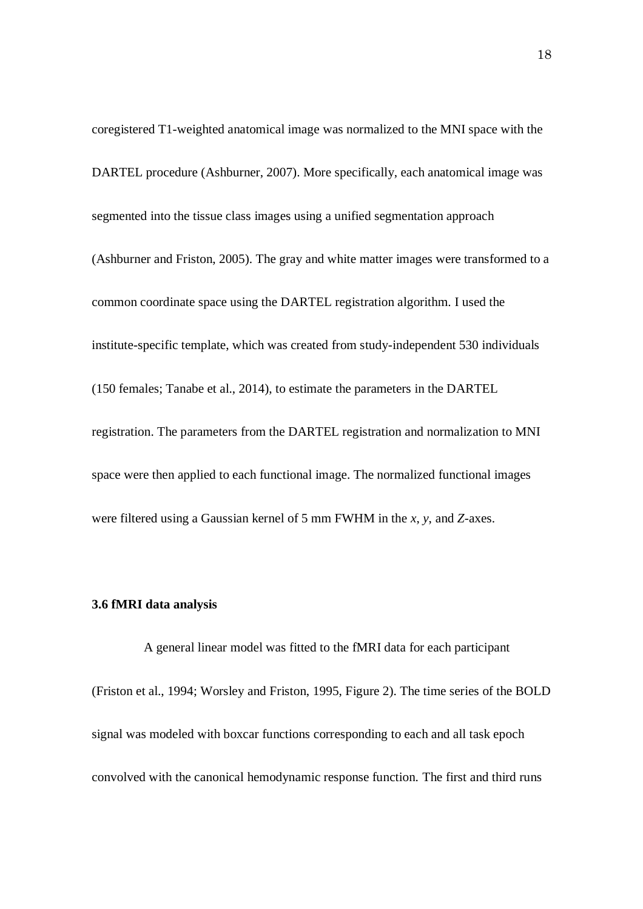coregistered T1-weighted anatomical image was normalized to the MNI space with the DARTEL procedure (Ashburner, 2007). More specifically, each anatomical image was segmented into the tissue class images using a unified segmentation approach (Ashburner and Friston, 2005). The gray and white matter images were transformed to a common coordinate space using the DARTEL registration algorithm. I used the institute-specific template, which was created from study-independent 530 individuals (150 females; Tanabe et al., 2014), to estimate the parameters in the DARTEL registration. The parameters from the DARTEL registration and normalization to MNI space were then applied to each functional image. The normalized functional images were filtered using a Gaussian kernel of 5 mm FWHM in the *x*, *y*, and *Z-*axes.

#### **3.6 fMRI data analysis**

A general linear model was fitted to the fMRI data for each participant (Friston et al., 1994; Worsley and Friston, 1995, Figure 2). The time series of the BOLD signal was modeled with boxcar functions corresponding to each and all task epoch convolved with the canonical hemodynamic response function. The first and third runs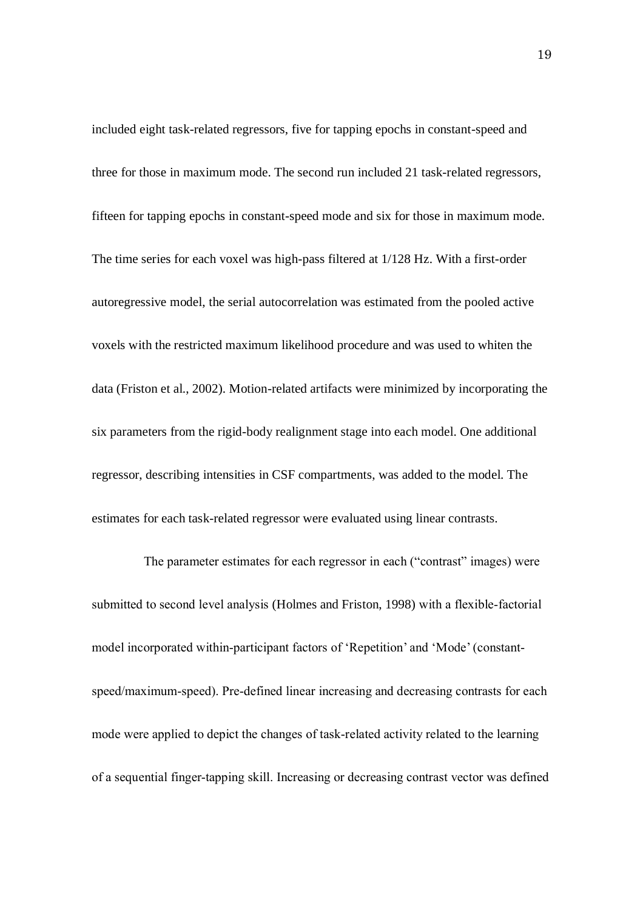included eight task-related regressors, five for tapping epochs in constant-speed and three for those in maximum mode. The second run included 21 task-related regressors, fifteen for tapping epochs in constant-speed mode and six for those in maximum mode. The time series for each voxel was high-pass filtered at 1/128 Hz. With a first-order autoregressive model, the serial autocorrelation was estimated from the pooled active voxels with the restricted maximum likelihood procedure and was used to whiten the data (Friston et al., 2002). Motion-related artifacts were minimized by incorporating the six parameters from the rigid-body realignment stage into each model. One additional regressor, describing intensities in CSF compartments, was added to the model. The estimates for each task-related regressor were evaluated using linear contrasts.

The parameter estimates for each regressor in each ("contrast" images) were submitted to second level analysis (Holmes and Friston, 1998) with a flexible-factorial model incorporated within-participant factors of 'Repetition' and 'Mode' (constantspeed/maximum-speed). Pre-defined linear increasing and decreasing contrasts for each mode were applied to depict the changes of task-related activity related to the learning of a sequential finger-tapping skill. Increasing or decreasing contrast vector was defined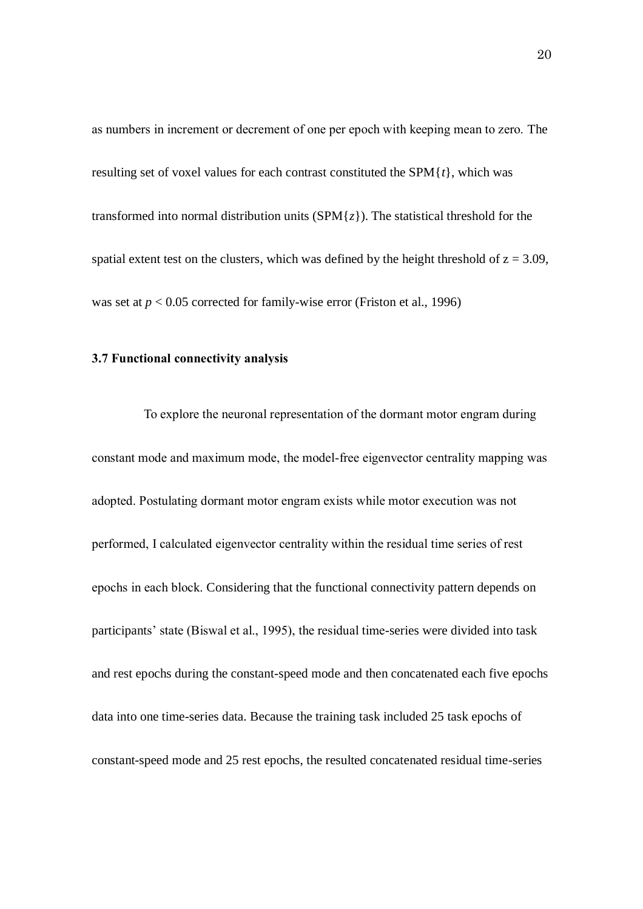as numbers in increment or decrement of one per epoch with keeping mean to zero. The resulting set of voxel values for each contrast constituted the SPM{*t*}, which was transformed into normal distribution units  $(SPM{z})$ . The statistical threshold for the spatial extent test on the clusters, which was defined by the height threshold of  $z = 3.09$ , was set at  $p < 0.05$  corrected for family-wise error (Friston et al., 1996)

#### **3.7 Functional connectivity analysis**

To explore the neuronal representation of the dormant motor engram during constant mode and maximum mode, the model-free eigenvector centrality mapping was adopted. Postulating dormant motor engram exists while motor execution was not performed, I calculated eigenvector centrality within the residual time series of rest epochs in each block. Considering that the functional connectivity pattern depends on participants' state (Biswal et al., 1995), the residual time-series were divided into task and rest epochs during the constant-speed mode and then concatenated each five epochs data into one time-series data. Because the training task included 25 task epochs of constant-speed mode and 25 rest epochs, the resulted concatenated residual time-series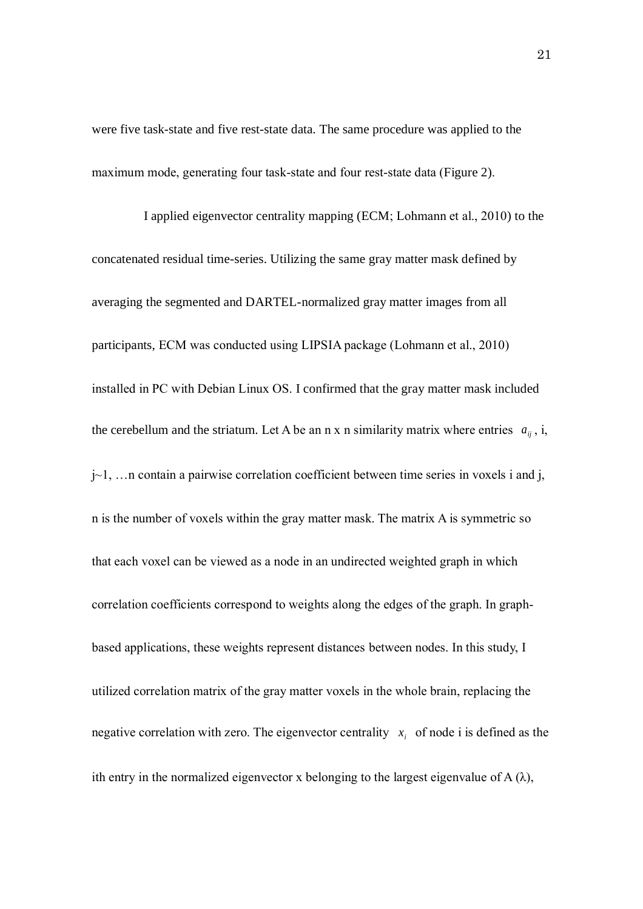were five task-state and five rest-state data. The same procedure was applied to the maximum mode, generating four task-state and four rest-state data (Figure 2).

I applied eigenvector centrality mapping (ECM; Lohmann et al., 2010) to the concatenated residual time-series. Utilizing the same gray matter mask defined by averaging the segmented and DARTEL-normalized gray matter images from all participants, ECM was conducted using LIPSIA package (Lohmann et al., 2010) installed in PC with Debian Linux OS. I confirmed that the gray matter mask included the cerebellum and the striatum. Let A be an n x n similarity matrix where entries  $a_{ij}$ , i, j~1, …n contain a pairwise correlation coefficient between time series in voxels i and j, n is the number of voxels within the gray matter mask. The matrix A is symmetric so that each voxel can be viewed as a node in an undirected weighted graph in which correlation coefficients correspond to weights along the edges of the graph. In graphbased applications, these weights represent distances between nodes. In this study, I utilized correlation matrix of the gray matter voxels in the whole brain, replacing the negative correlation with zero. The eigenvector centrality  $x_i$  of node i is defined as the ith entry in the normalized eigenvector x belonging to the largest eigenvalue of  $A(\lambda)$ ,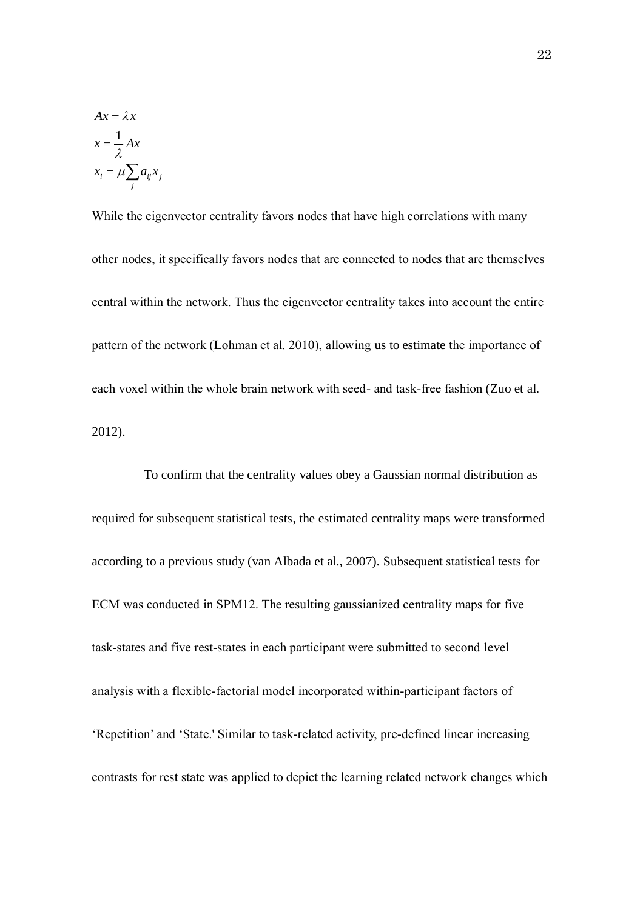$$
Ax = \lambda x
$$
  

$$
x = \frac{1}{\lambda} Ax
$$
  

$$
x_i = \mu \sum_j a_{ij} x_j
$$

While the eigenvector centrality favors nodes that have high correlations with many other nodes, it specifically favors nodes that are connected to nodes that are themselves central within the network. Thus the eigenvector centrality takes into account the entire pattern of the network (Lohman et al. 2010), allowing us to estimate the importance of each voxel within the whole brain network with seed- and task-free fashion (Zuo et al. 2012).

To confirm that the centrality values obey a Gaussian normal distribution as required for subsequent statistical tests, the estimated centrality maps were transformed according to a previous study (van Albada et al., 2007). Subsequent statistical tests for ECM was conducted in SPM12. The resulting gaussianized centrality maps for five task-states and five rest-states in each participant were submitted to second level analysis with a flexible-factorial model incorporated within-participant factors of 'Repetition' and 'State.' Similar to task-related activity, pre-defined linear increasing contrasts for rest state was applied to depict the learning related network changes which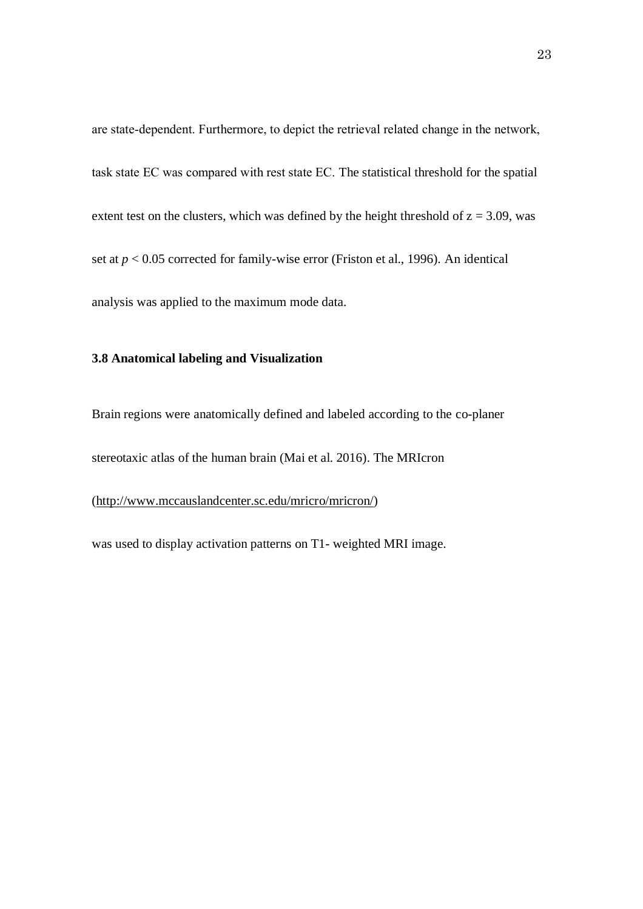are state-dependent. Furthermore, to depict the retrieval related change in the network, task state EC was compared with rest state EC. The statistical threshold for the spatial extent test on the clusters, which was defined by the height threshold of  $z = 3.09$ , was set at *p* < 0.05 corrected for family-wise error (Friston et al., 1996). An identical analysis was applied to the maximum mode data.

#### **3.8 Anatomical labeling and Visualization**

Brain regions were anatomically defined and labeled according to the co-planer

stereotaxic atlas of the human brain (Mai et al. 2016). The MRIcron

#### [\(http://www.mccauslandcenter.sc.edu/mricro/mricron/\)](http://www.mccauslandcenter.sc.edu/mricro/mricron/)

was used to display activation patterns on T1- weighted MRI image.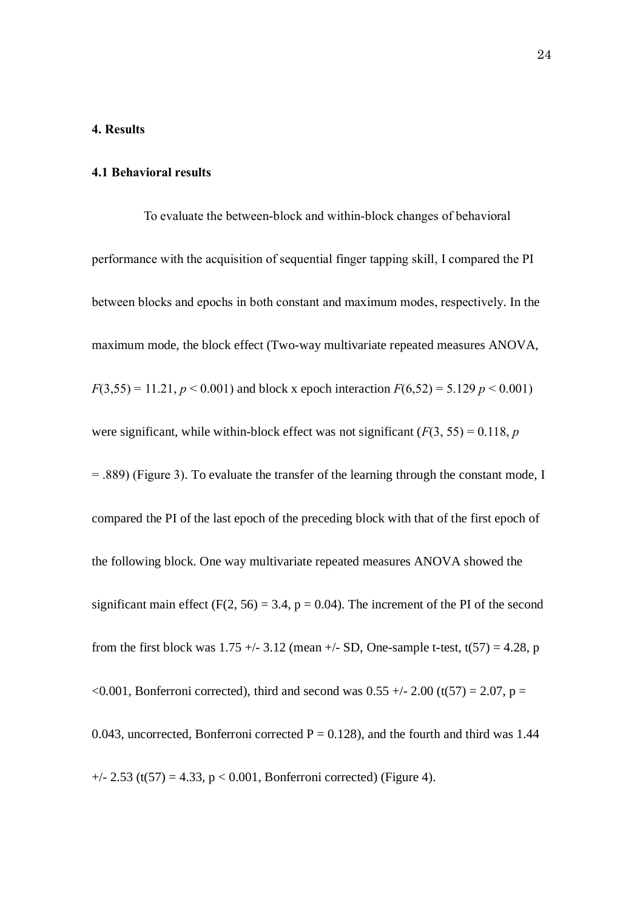### **4. Results**

#### **4.1 Behavioral results**

To evaluate the between-block and within-block changes of behavioral performance with the acquisition of sequential finger tapping skill, I compared the PI between blocks and epochs in both constant and maximum modes, respectively. In the maximum mode, the block effect (Two-way multivariate repeated measures ANOVA,  $F(3,55) = 11.21, p < 0.001$  and block x epoch interaction  $F(6,52) = 5.129 p < 0.001$ were significant, while within-block effect was not significant  $(F(3, 55) = 0.118, p$ = .889) (Figure 3). To evaluate the transfer of the learning through the constant mode, I compared the PI of the last epoch of the preceding block with that of the first epoch of the following block. One way multivariate repeated measures ANOVA showed the significant main effect ( $F(2, 56) = 3.4$ ,  $p = 0.04$ ). The increment of the PI of the second from the first block was  $1.75 + (-3.12$  (mean  $+/-$  SD, One-sample t-test, t(57) = 4.28, p <0.001, Bonferroni corrected), third and second was  $0.55 +/- 2.00$  (t(57) = 2.07, p = 0.043, uncorrected, Bonferroni corrected  $P = 0.128$ ), and the fourth and third was 1.44  $+/- 2.53$  (t(57) = 4.33, p < 0.001, Bonferroni corrected) (Figure 4).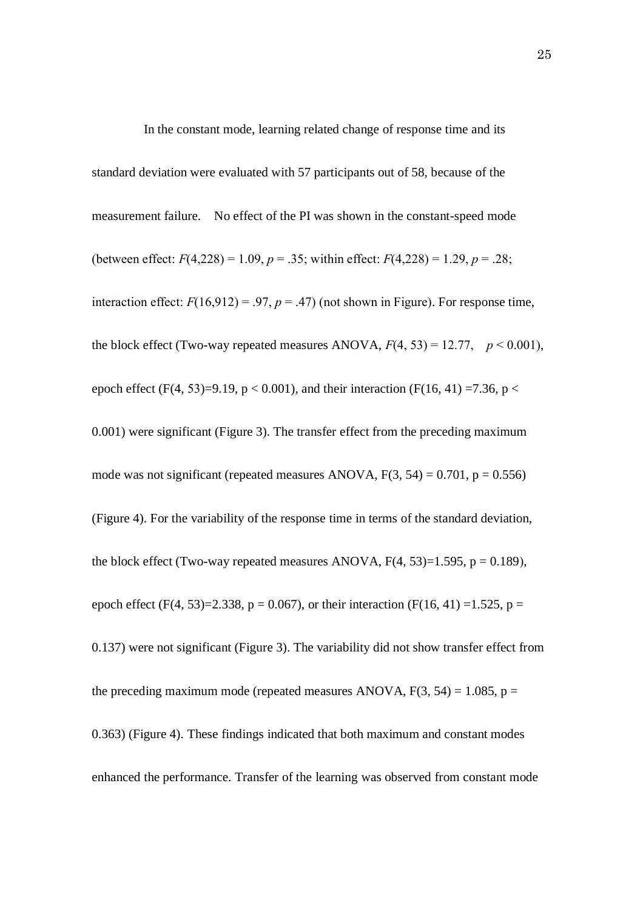In the constant mode, learning related change of response time and its standard deviation were evaluated with 57 participants out of 58, because of the measurement failure. No effect of the PI was shown in the constant-speed mode (between effect:  $F(4,228) = 1.09$ ,  $p = .35$ ; within effect:  $F(4,228) = 1.29$ ,  $p = .28$ ; interaction effect:  $F(16,912) = .97$ ,  $p = .47$ ) (not shown in Figure). For response time, the block effect (Two-way repeated measures ANOVA,  $F(4, 53) = 12.77$ ,  $p < 0.001$ ), epoch effect (F(4, 53)=9.19, p < 0.001), and their interaction (F(16, 41) =7.36, p < 0.001) were significant (Figure 3). The transfer effect from the preceding maximum mode was not significant (repeated measures ANOVA,  $F(3, 54) = 0.701$ ,  $p = 0.556$ ) (Figure 4). For the variability of the response time in terms of the standard deviation, the block effect (Two-way repeated measures ANOVA,  $F(4, 53)=1.595$ ,  $p = 0.189$ ), epoch effect (F(4, 53)=2.338, p = 0.067), or their interaction (F(16, 41) =1.525, p = 0.137) were not significant (Figure 3). The variability did not show transfer effect from the preceding maximum mode (repeated measures ANOVA,  $F(3, 54) = 1.085$ ,  $p =$ 0.363) (Figure 4). These findings indicated that both maximum and constant modes enhanced the performance. Transfer of the learning was observed from constant mode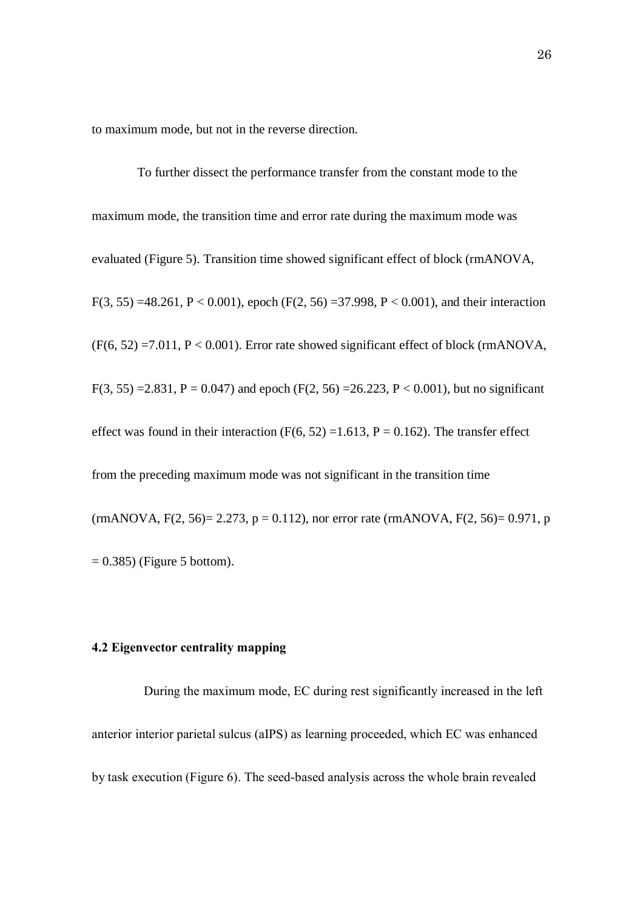to maximum mode, but not in the reverse direction.

To further dissect the performance transfer from the constant mode to the maximum mode, the transition time and error rate during the maximum mode was evaluated (Figure 5). Transition time showed significant effect of block (rmANOVA, F(3, 55) =48.261, P < 0.001), epoch (F(2, 56) =37.998, P < 0.001), and their interaction  $(F(6, 52) = 7.011, P < 0.001)$ . Error rate showed significant effect of block (rmANOVA, F(3, 55) = 2.831, P = 0.047) and epoch (F(2, 56) = 26.223, P < 0.001), but no significant effect was found in their interaction (F(6, 52) = 1.613, P = 0.162). The transfer effect from the preceding maximum mode was not significant in the transition time  $(rmANOVA, F(2, 56) = 2.273, p = 0.112)$ , nor error rate  $(rmANOVA, F(2, 56) = 0.971, p$  $= 0.385$ ) (Figure 5 bottom).

# **4.2 Eigenvector centrality mapping**

During the maximum mode, EC during rest significantly increased in the left anterior interior parietal sulcus (aIPS) as learning proceeded, which EC was enhanced by task execution (Figure 6). The seed-based analysis across the whole brain revealed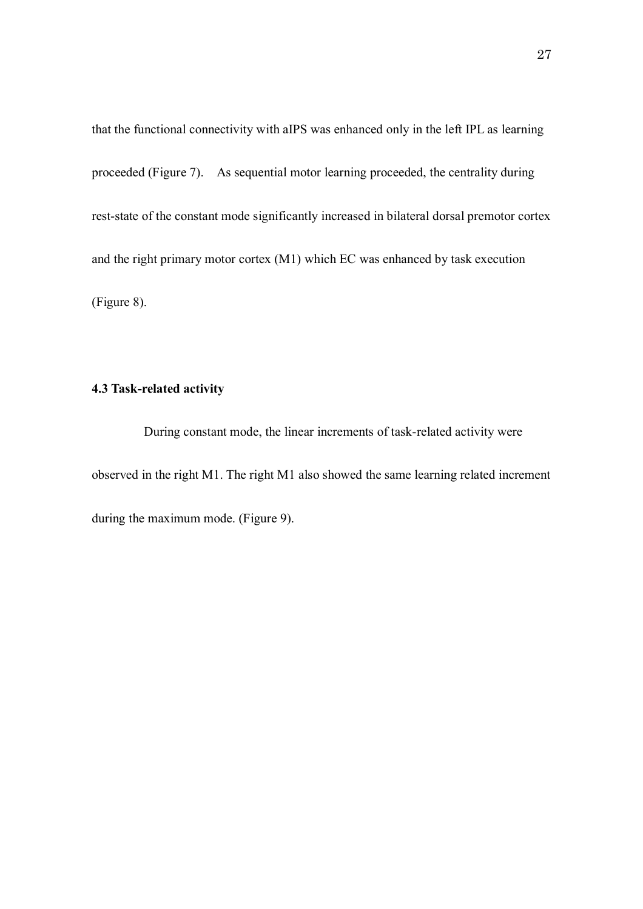that the functional connectivity with aIPS was enhanced only in the left IPL as learning proceeded (Figure 7). As sequential motor learning proceeded, the centrality during rest-state of the constant mode significantly increased in bilateral dorsal premotor cortex and the right primary motor cortex (M1) which EC was enhanced by task execution (Figure 8).

## **4.3 Task-related activity**

During constant mode, the linear increments of task-related activity were observed in the right M1. The right M1 also showed the same learning related increment during the maximum mode. (Figure 9).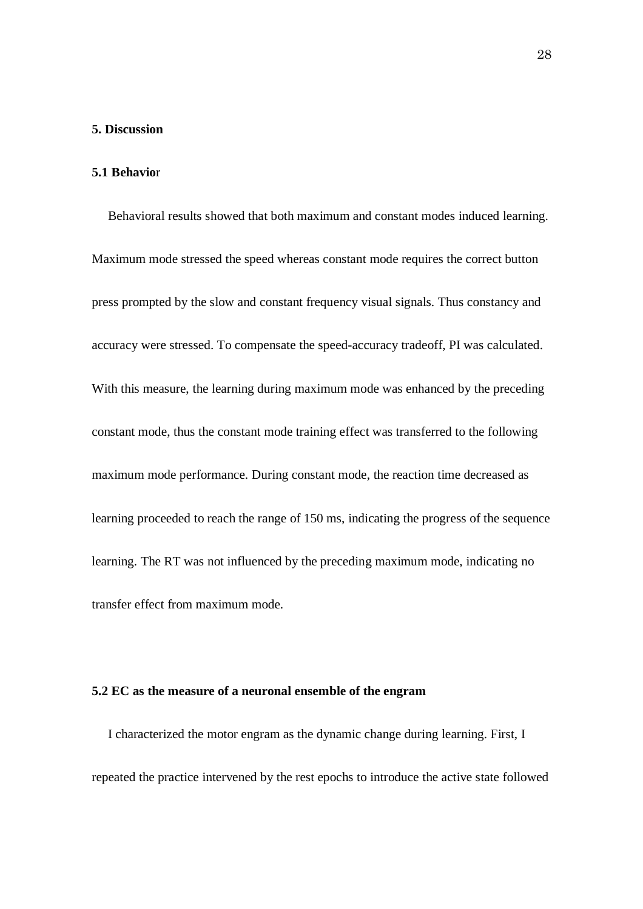#### **5. Discussion**

#### **5.1 Behavio**r

Behavioral results showed that both maximum and constant modes induced learning. Maximum mode stressed the speed whereas constant mode requires the correct button press prompted by the slow and constant frequency visual signals. Thus constancy and accuracy were stressed. To compensate the speed-accuracy tradeoff, PI was calculated. With this measure, the learning during maximum mode was enhanced by the preceding constant mode, thus the constant mode training effect was transferred to the following maximum mode performance. During constant mode, the reaction time decreased as learning proceeded to reach the range of 150 ms, indicating the progress of the sequence learning. The RT was not influenced by the preceding maximum mode, indicating no transfer effect from maximum mode.

## **5.2 EC as the measure of a neuronal ensemble of the engram**

I characterized the motor engram as the dynamic change during learning. First, I repeated the practice intervened by the rest epochs to introduce the active state followed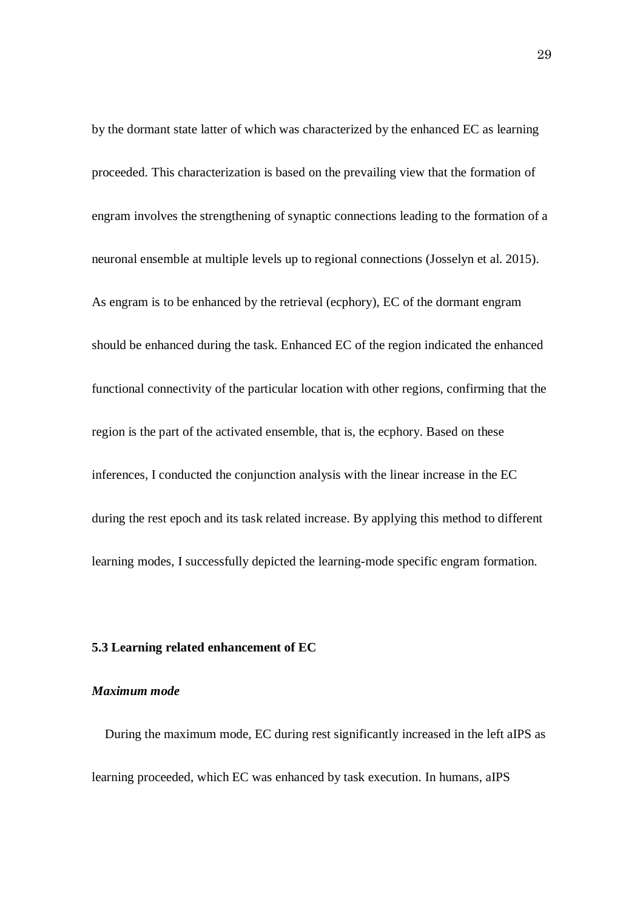by the dormant state latter of which was characterized by the enhanced EC as learning proceeded. This characterization is based on the prevailing view that the formation of engram involves the strengthening of synaptic connections leading to the formation of a neuronal ensemble at multiple levels up to regional connections (Josselyn et al. 2015). As engram is to be enhanced by the retrieval (ecphory), EC of the dormant engram should be enhanced during the task. Enhanced EC of the region indicated the enhanced functional connectivity of the particular location with other regions, confirming that the region is the part of the activated ensemble, that is, the ecphory. Based on these inferences, I conducted the conjunction analysis with the linear increase in the EC during the rest epoch and its task related increase. By applying this method to different learning modes, I successfully depicted the learning-mode specific engram formation.

#### **5.3 Learning related enhancement of EC**

#### *Maximum mode*

During the maximum mode, EC during rest significantly increased in the left aIPS as learning proceeded, which EC was enhanced by task execution. In humans, aIPS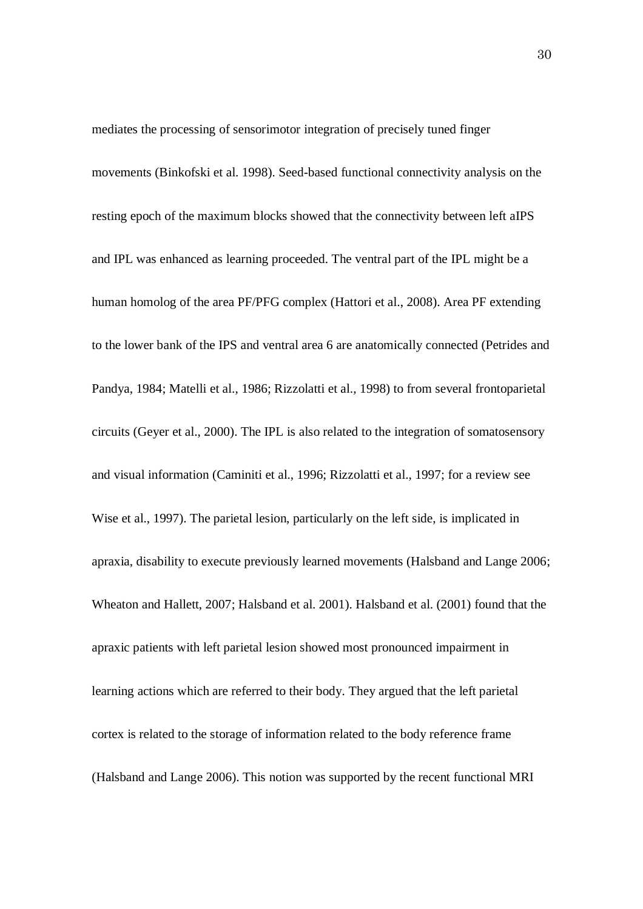mediates the processing of sensorimotor integration of precisely tuned finger movements (Binkofski et al. 1998). Seed-based functional connectivity analysis on the resting epoch of the maximum blocks showed that the connectivity between left aIPS and IPL was enhanced as learning proceeded. The ventral part of the IPL might be a human homolog of the area PF/PFG complex (Hattori et al., 2008). Area PF extending to the lower bank of the IPS and ventral area 6 are anatomically connected (Petrides and Pandya, 1984; Matelli et al., 1986; Rizzolatti et al., 1998) to from several frontoparietal circuits (Geyer et al., 2000). The IPL is also related to the integration of somatosensory and visual information (Caminiti et al., 1996; Rizzolatti et al., 1997; for a review see Wise et al., 1997). The parietal lesion, particularly on the left side, is implicated in apraxia, disability to execute previously learned movements (Halsband and Lange 2006; Wheaton and Hallett, 2007; Halsband et al. 2001). Halsband et al. (2001) found that the apraxic patients with left parietal lesion showed most pronounced impairment in learning actions which are referred to their body. They argued that the left parietal cortex is related to the storage of information related to the body reference frame (Halsband and Lange 2006). This notion was supported by the recent functional MRI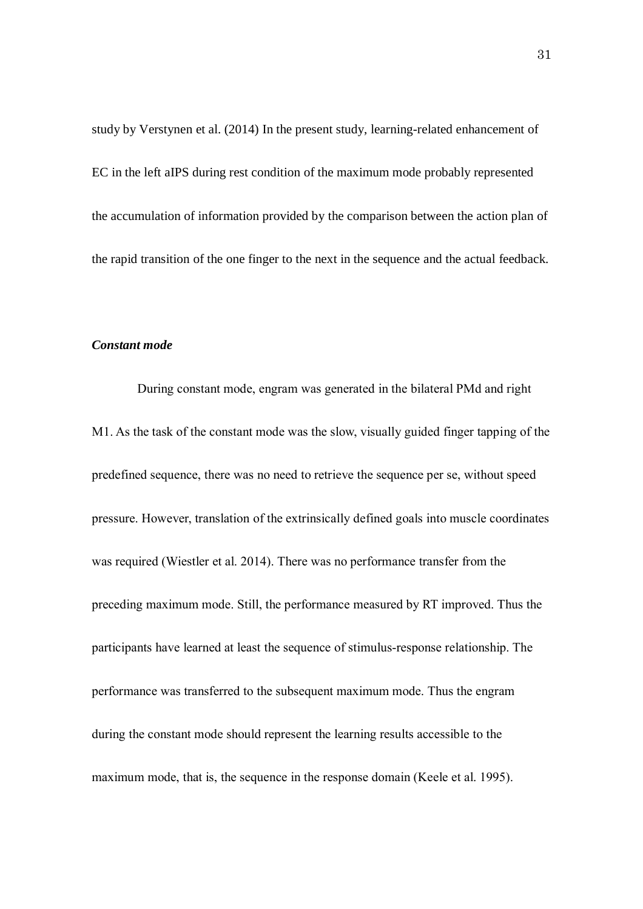study by Verstynen et al. (2014) In the present study, learning-related enhancement of EC in the left aIPS during rest condition of the maximum mode probably represented the accumulation of information provided by the comparison between the action plan of the rapid transition of the one finger to the next in the sequence and the actual feedback.

## *Constant mode*

During constant mode, engram was generated in the bilateral PMd and right M1. As the task of the constant mode was the slow, visually guided finger tapping of the predefined sequence, there was no need to retrieve the sequence per se, without speed pressure. However, translation of the extrinsically defined goals into muscle coordinates was required (Wiestler et al. 2014). There was no performance transfer from the preceding maximum mode. Still, the performance measured by RT improved. Thus the participants have learned at least the sequence of stimulus-response relationship. The performance was transferred to the subsequent maximum mode. Thus the engram during the constant mode should represent the learning results accessible to the maximum mode, that is, the sequence in the response domain (Keele et al. 1995).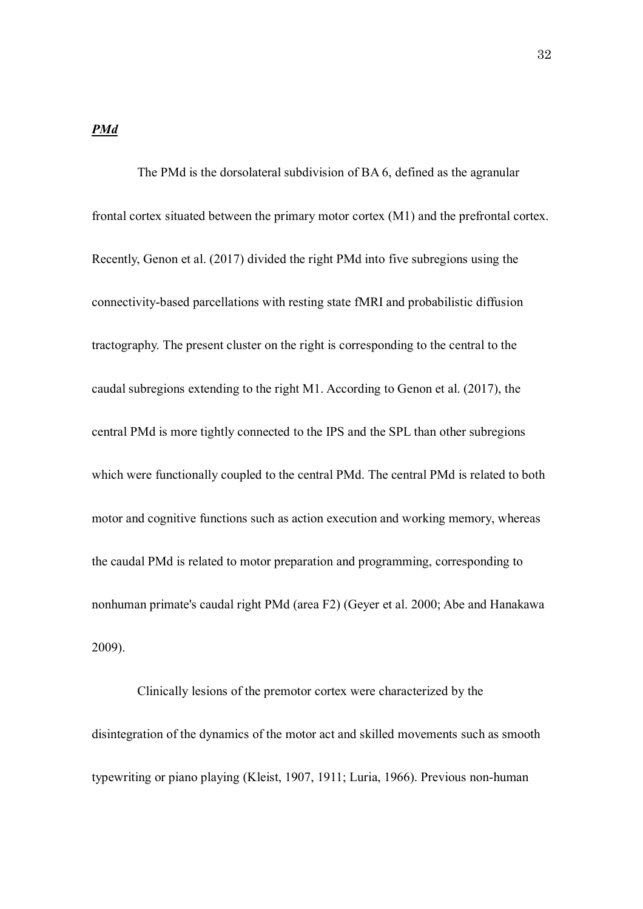## *PMd*

The PMd is the dorsolateral subdivision of BA 6, defined as the agranular frontal cortex situated between the primary motor cortex (M1) and the prefrontal cortex. Recently, Genon et al. (2017) divided the right PMd into five subregions using the connectivity-based parcellations with resting state fMRI and probabilistic diffusion tractography. The present cluster on the right is corresponding to the central to the caudal subregions extending to the right M1. According to Genon et al. (2017), the central PMd is more tightly connected to the IPS and the SPL than other subregions which were functionally coupled to the central PMd. The central PMd is related to both motor and cognitive functions such as action execution and working memory, whereas the caudal PMd is related to motor preparation and programming, corresponding to nonhuman primate's caudal right PMd (area F2) (Geyer et al. 2000; Abe and Hanakawa 2009).

Clinically lesions of the premotor cortex were characterized by the disintegration of the dynamics of the motor act and skilled movements such as smooth typewriting or piano playing (Kleist, 1907, 1911; Luria, 1966). Previous non-human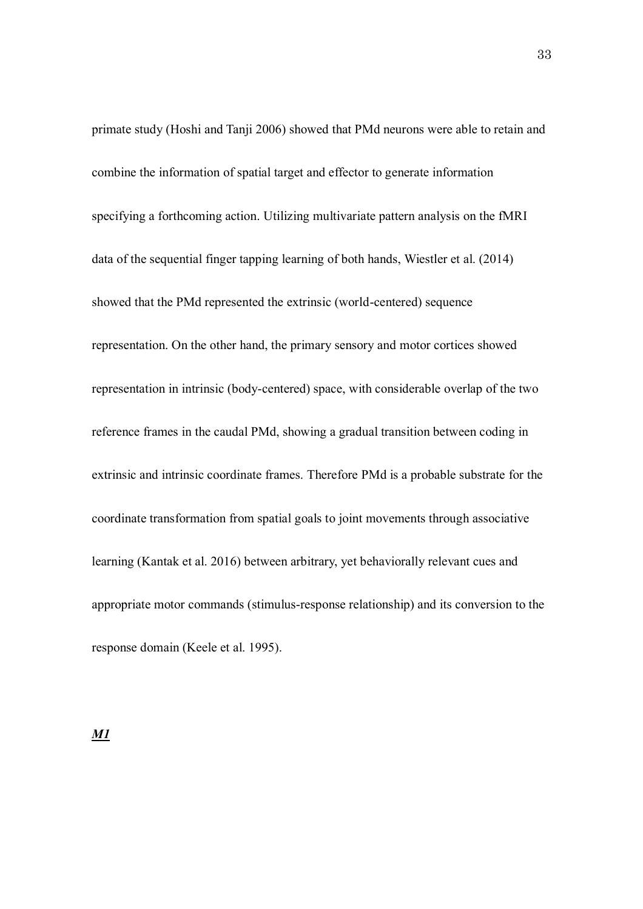primate study (Hoshi and Tanji 2006) showed that PMd neurons were able to retain and combine the information of spatial target and effector to generate information specifying a forthcoming action. Utilizing multivariate pattern analysis on the fMRI data of the sequential finger tapping learning of both hands, Wiestler et al. (2014) showed that the PMd represented the extrinsic (world-centered) sequence representation. On the other hand, the primary sensory and motor cortices showed representation in intrinsic (body-centered) space, with considerable overlap of the two reference frames in the caudal PMd, showing a gradual transition between coding in extrinsic and intrinsic coordinate frames. Therefore PMd is a probable substrate for the coordinate transformation from spatial goals to joint movements through associative learning (Kantak et al. 2016) between arbitrary, yet behaviorally relevant cues and appropriate motor commands (stimulus-response relationship) and its conversion to the response domain (Keele et al. 1995).

*M1*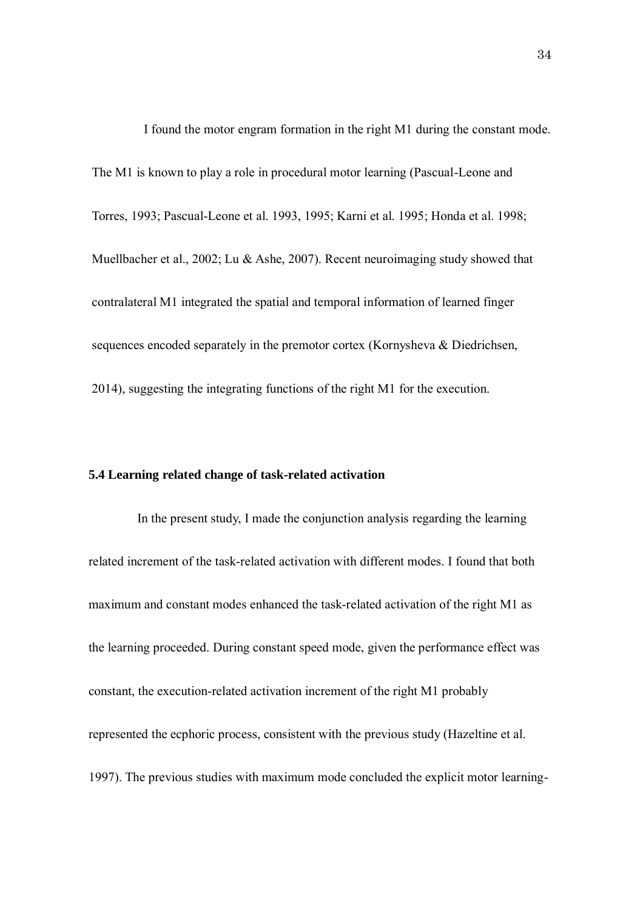I found the motor engram formation in the right M1 during the constant mode. The M1 is known to play a role in procedural motor learning (Pascual-Leone and Torres, 1993; Pascual-Leone et al. 1993, 1995; Karni et al. 1995; Honda et al. 1998; Muellbacher et al., 2002; Lu & Ashe, 2007). Recent neuroimaging study showed that contralateral M1 integrated the spatial and temporal information of learned finger sequences encoded separately in the premotor cortex (Kornysheva & Diedrichsen, 2014), suggesting the integrating functions of the right M1 for the execution.

## **5.4 Learning related change of task-related activation**

In the present study, I made the conjunction analysis regarding the learning related increment of the task-related activation with different modes. I found that both maximum and constant modes enhanced the task-related activation of the right M1 as the learning proceeded. During constant speed mode, given the performance effect was constant, the execution-related activation increment of the right M1 probably represented the ecphoric process, consistent with the previous study (Hazeltine et al. 1997). The previous studies with maximum mode concluded the explicit motor learning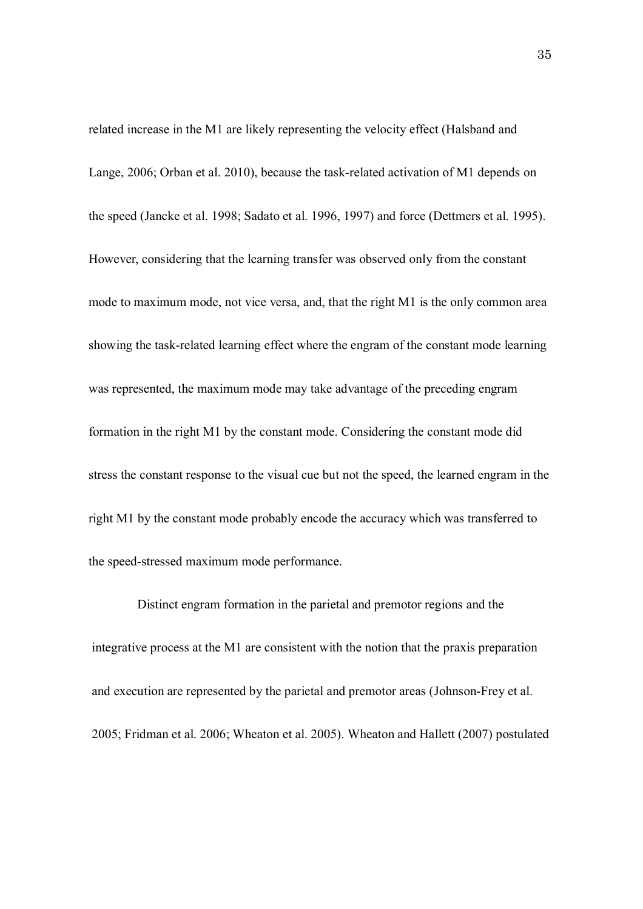related increase in the M1 are likely representing the velocity effect (Halsband and Lange, 2006; Orban et al. 2010), because the task-related activation of M1 depends on the speed (Jancke et al. 1998; Sadato et al. 1996, 1997) and force (Dettmers et al. 1995). However, considering that the learning transfer was observed only from the constant mode to maximum mode, not vice versa, and, that the right M1 is the only common area showing the task-related learning effect where the engram of the constant mode learning was represented, the maximum mode may take advantage of the preceding engram formation in the right M1 by the constant mode. Considering the constant mode did stress the constant response to the visual cue but not the speed, the learned engram in the right M1 by the constant mode probably encode the accuracy which was transferred to the speed-stressed maximum mode performance.

Distinct engram formation in the parietal and premotor regions and the integrative process at the M1 are consistent with the notion that the praxis preparation and execution are represented by the parietal and premotor areas (Johnson-Frey et al. 2005; Fridman et al. 2006; Wheaton et al. 2005). Wheaton and Hallett (2007) postulated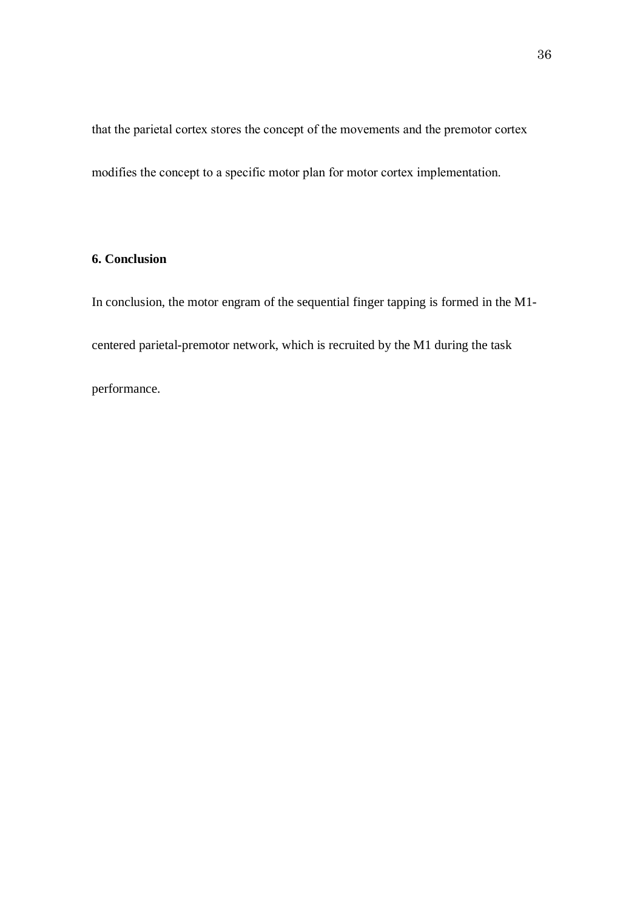that the parietal cortex stores the concept of the movements and the premotor cortex modifies the concept to a specific motor plan for motor cortex implementation.

## **6. Conclusion**

In conclusion, the motor engram of the sequential finger tapping is formed in the M1 centered parietal-premotor network, which is recruited by the M1 during the task

performance.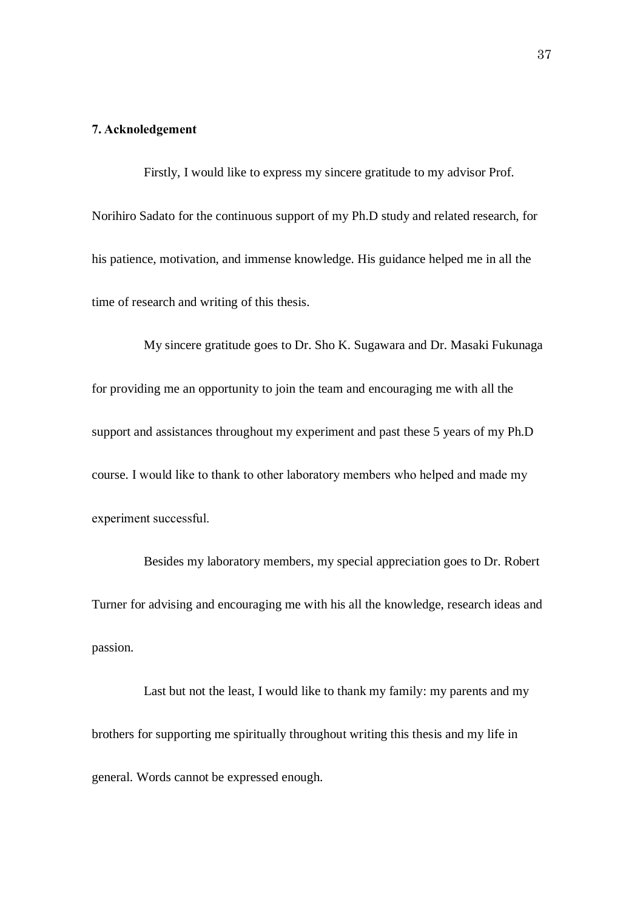#### **7. Acknoledgement**

Firstly, I would like to express my sincere gratitude to my advisor Prof. Norihiro Sadato for the continuous support of my Ph.D study and related research, for his patience, motivation, and immense knowledge. His guidance helped me in all the time of research and writing of this thesis.

My sincere gratitude goes to Dr. Sho K. Sugawara and Dr. Masaki Fukunaga for providing me an opportunity to join the team and encouraging me with all the support and assistances throughout my experiment and past these 5 years of my Ph.D course. I would like to thank to other laboratory members who helped and made my experiment successful.

Besides my laboratory members, my special appreciation goes to Dr. Robert Turner for advising and encouraging me with his all the knowledge, research ideas and passion.

Last but not the least, I would like to thank my family: my parents and my brothers for supporting me spiritually throughout writing this thesis and my life in general. Words cannot be expressed enough.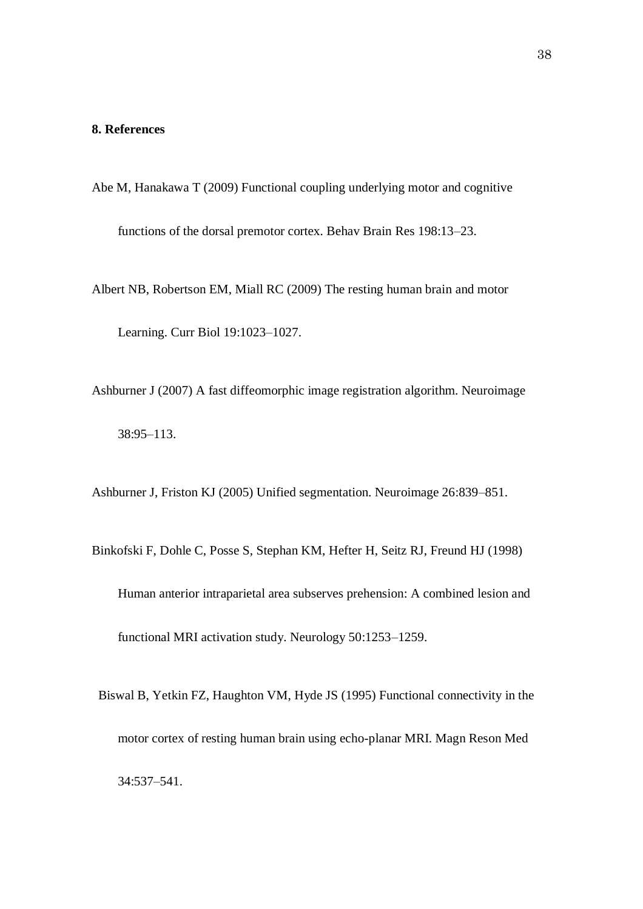#### **8. References**

Abe M, Hanakawa T (2009) Functional coupling underlying motor and cognitive

functions of the dorsal premotor cortex. Behav Brain Res 198:13–23.

- Albert NB, Robertson EM, Miall RC (2009) The resting human brain and motor Learning. Curr Biol 19:1023–1027.
- Ashburner J (2007) A fast diffeomorphic image registration algorithm. Neuroimage 38:95–113.

Ashburner J, Friston KJ (2005) Unified segmentation. Neuroimage 26:839–851.

- Binkofski F, Dohle C, Posse S, Stephan KM, Hefter H, Seitz RJ, Freund HJ (1998) Human anterior intraparietal area subserves prehension: A combined lesion and functional MRI activation study. Neurology 50:1253–1259.
	- Biswal B, Yetkin FZ, Haughton VM, Hyde JS (1995) Functional connectivity in the motor cortex of resting human brain using echo-planar MRI. Magn Reson Med 34:537–541.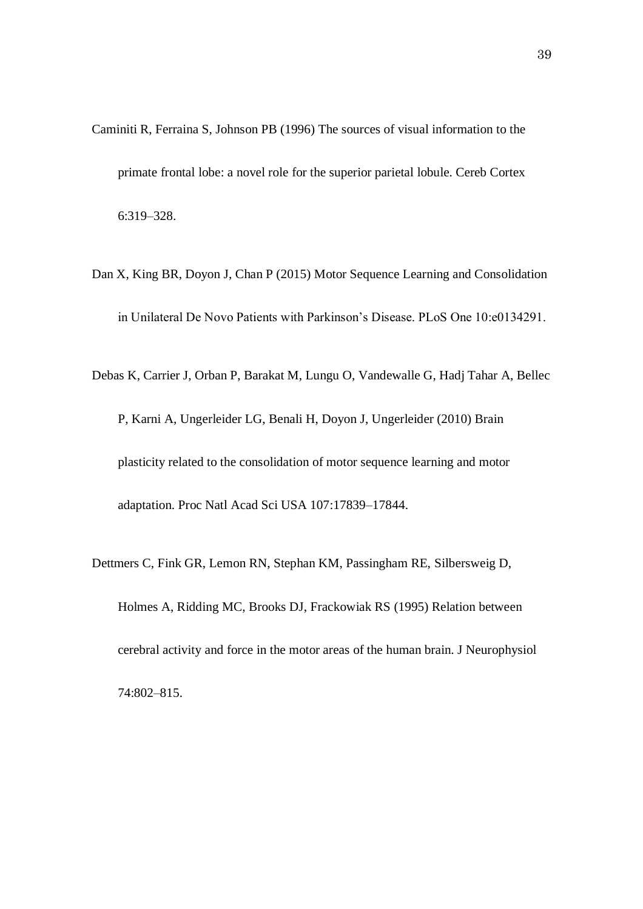- Caminiti R, Ferraina S, Johnson PB (1996) The sources of visual information to the primate frontal lobe: a novel role for the superior parietal lobule. Cereb Cortex 6:319–328.
- Dan X, King BR, Doyon J, Chan P (2015) Motor Sequence Learning and Consolidation in Unilateral De Novo Patients with Parkinson's Disease. PLoS One 10:e0134291.
- Debas K, Carrier J, Orban P, Barakat M, Lungu O, Vandewalle G, Hadj Tahar A, Bellec P, Karni A, Ungerleider LG, Benali H, Doyon J, Ungerleider (2010) Brain plasticity related to the consolidation of motor sequence learning and motor adaptation. Proc Natl Acad Sci USA 107:17839–17844.
- Dettmers C, Fink GR, Lemon RN, Stephan KM, Passingham RE, Silbersweig D, Holmes A, Ridding MC, Brooks DJ, Frackowiak RS (1995) Relation between cerebral activity and force in the motor areas of the human brain. J Neurophysiol 74:802–815.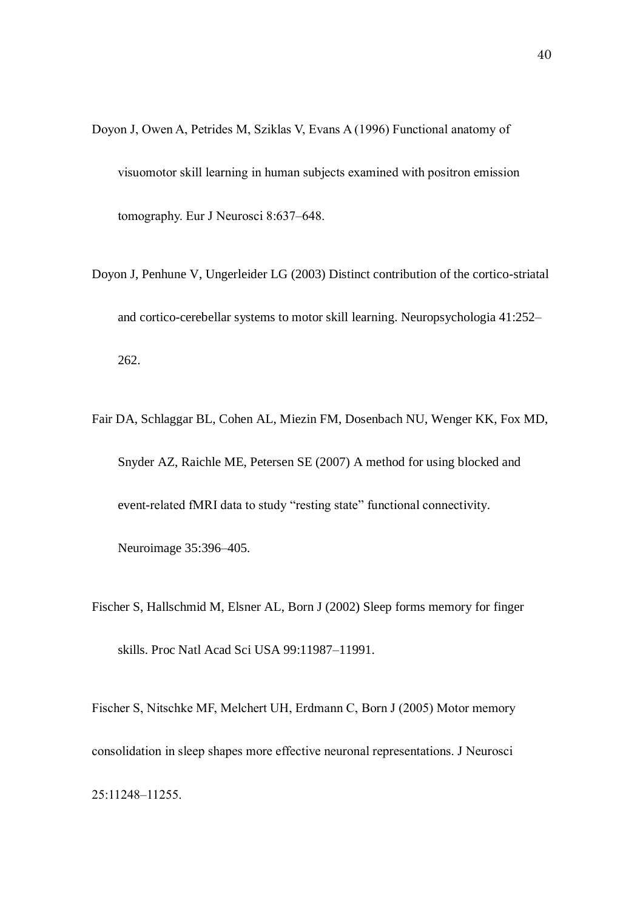- Doyon J, Owen A, Petrides M, Sziklas V, Evans A (1996) Functional anatomy of visuomotor skill learning in human subjects examined with positron emission tomography. Eur J Neurosci 8:637–648.
- Doyon J, Penhune V, Ungerleider LG (2003) Distinct contribution of the cortico-striatal and cortico-cerebellar systems to motor skill learning. Neuropsychologia 41:252– 262.
- Fair DA, Schlaggar BL, Cohen AL, Miezin FM, Dosenbach NU, Wenger KK, Fox MD, Snyder AZ, Raichle ME, Petersen SE (2007) A method for using blocked and event-related fMRI data to study "resting state" functional connectivity.

Neuroimage 35:396–405.

Fischer S, Hallschmid M, Elsner AL, Born J (2002) Sleep forms memory for finger skills. Proc Natl Acad Sci USA 99:11987–11991.

Fischer S, Nitschke MF, Melchert UH, Erdmann C, Born J (2005) Motor memory consolidation in sleep shapes more effective neuronal representations. J Neurosci 25:11248–11255.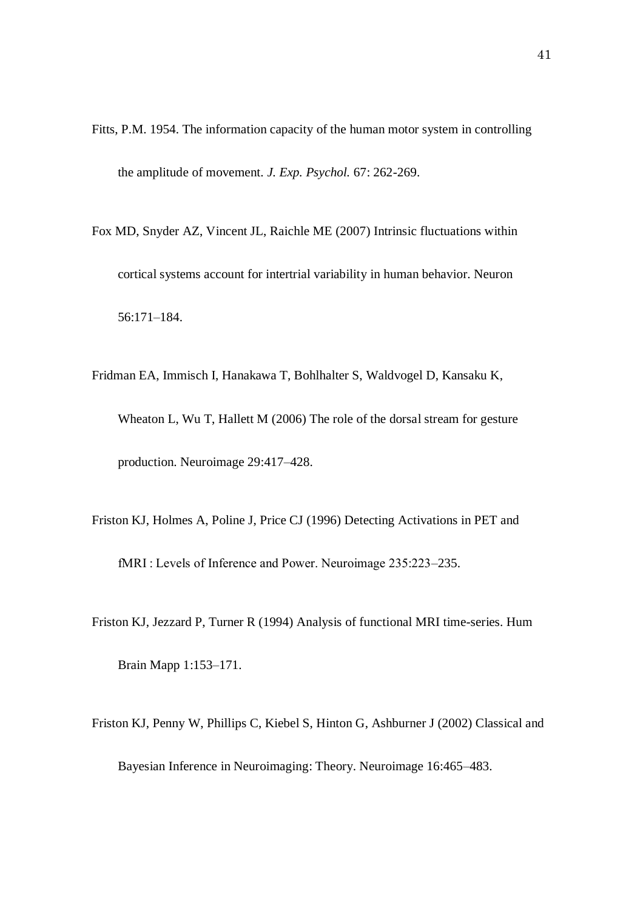- Fitts, P.M. 1954. The information capacity of the human motor system in controlling the amplitude of movement. *J. Exp. Psychol.* 67: 262-269.
- Fox MD, Snyder AZ, Vincent JL, Raichle ME (2007) Intrinsic fluctuations within cortical systems account for intertrial variability in human behavior. Neuron 56:171–184.
- Fridman EA, Immisch I, Hanakawa T, Bohlhalter S, Waldvogel D, Kansaku K, Wheaton L, Wu T, Hallett M (2006) The role of the dorsal stream for gesture production. Neuroimage 29:417–428.
- Friston KJ, Holmes A, Poline J, Price CJ (1996) Detecting Activations in PET and fMRI : Levels of Inference and Power. Neuroimage 235:223–235.
- Friston KJ, Jezzard P, Turner R (1994) Analysis of functional MRI time-series. Hum Brain Mapp 1:153–171.
- Friston KJ, Penny W, Phillips C, Kiebel S, Hinton G, Ashburner J (2002) Classical and Bayesian Inference in Neuroimaging: Theory. Neuroimage 16:465–483.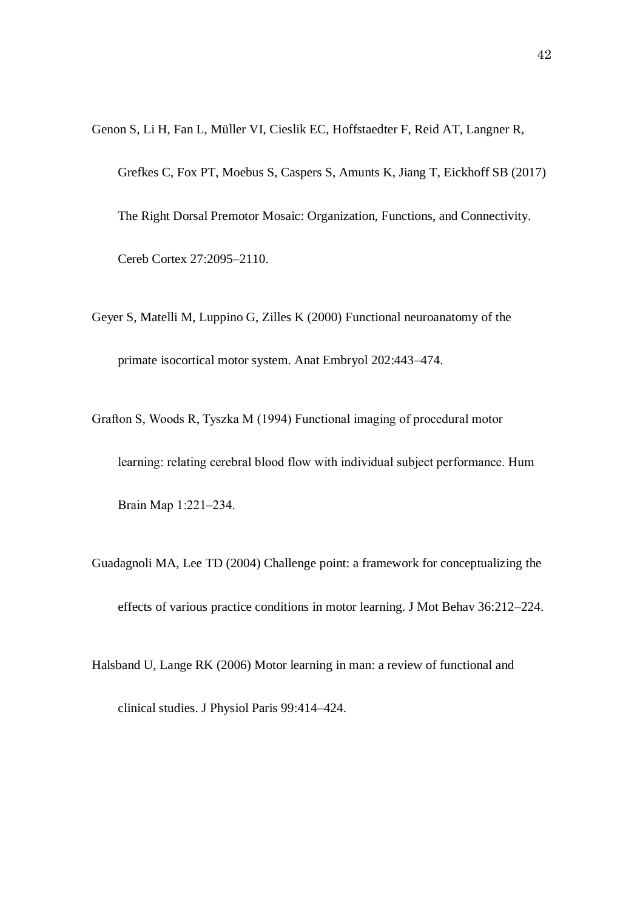Genon S, Li H, Fan L, Müller VI, Cieslik EC, Hoffstaedter F, Reid AT, Langner R,

Grefkes C, Fox PT, Moebus S, Caspers S, Amunts K, Jiang T, Eickhoff SB (2017)

The Right Dorsal Premotor Mosaic: Organization, Functions, and Connectivity.

Cereb Cortex 27:2095–2110.

Geyer S, Matelli M, Luppino G, Zilles K (2000) Functional neuroanatomy of the primate isocortical motor system. Anat Embryol 202:443–474.

Grafton S, Woods R, Tyszka M (1994) Functional imaging of procedural motor learning: relating cerebral blood flow with individual subject performance. Hum Brain Map 1:221–234.

Guadagnoli MA, Lee TD (2004) Challenge point: a framework for conceptualizing the effects of various practice conditions in motor learning. J Mot Behav 36:212–224.

Halsband U, Lange RK (2006) Motor learning in man: a review of functional and

clinical studies. J Physiol Paris 99:414–424.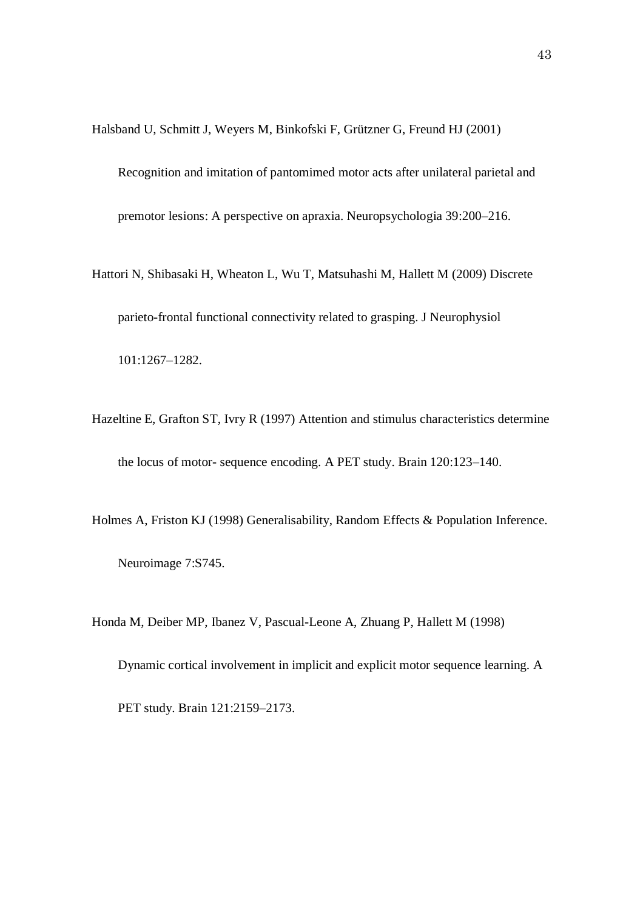Halsband U, Schmitt J, Weyers M, Binkofski F, Grützner G, Freund HJ (2001)

Recognition and imitation of pantomimed motor acts after unilateral parietal and premotor lesions: A perspective on apraxia. Neuropsychologia 39:200–216.

- Hattori N, Shibasaki H, Wheaton L, Wu T, Matsuhashi M, Hallett M (2009) Discrete parieto-frontal functional connectivity related to grasping. J Neurophysiol 101:1267–1282.
- Hazeltine E, Grafton ST, Ivry R (1997) Attention and stimulus characteristics determine the locus of motor- sequence encoding. A PET study. Brain 120:123–140.
- Holmes A, Friston KJ (1998) Generalisability, Random Effects & Population Inference. Neuroimage 7:S745.

Honda M, Deiber MP, Ibanez V, Pascual-Leone A, Zhuang P, Hallett M (1998) Dynamic cortical involvement in implicit and explicit motor sequence learning. A PET study. Brain 121:2159–2173.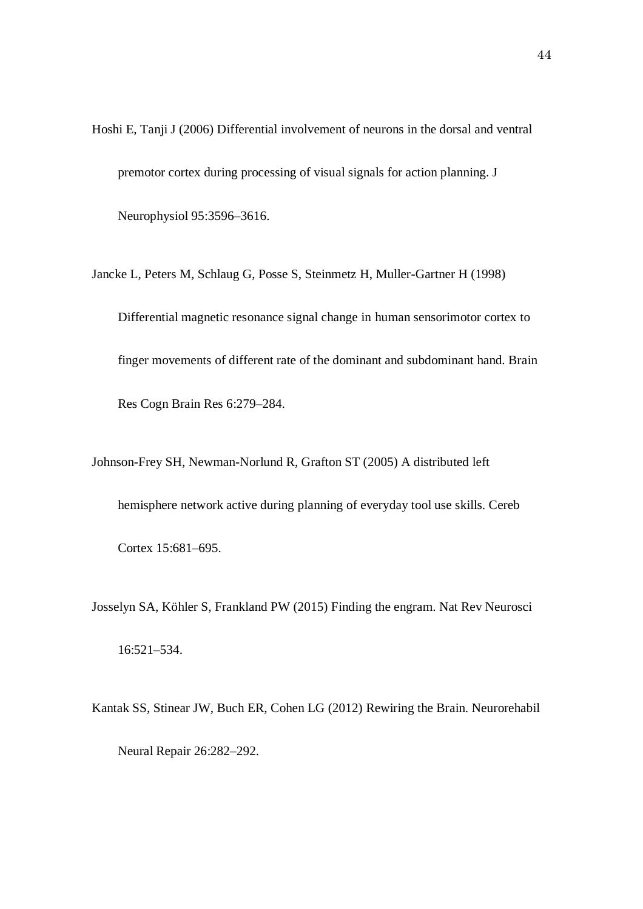Hoshi E, Tanji J (2006) Differential involvement of neurons in the dorsal and ventral premotor cortex during processing of visual signals for action planning. J Neurophysiol 95:3596–3616.

Jancke L, Peters M, Schlaug G, Posse S, Steinmetz H, Muller-Gartner H (1998) Differential magnetic resonance signal change in human sensorimotor cortex to finger movements of different rate of the dominant and subdominant hand. Brain Res Cogn Brain Res 6:279–284.

Johnson-Frey SH, Newman-Norlund R, Grafton ST (2005) A distributed left hemisphere network active during planning of everyday tool use skills. Cereb Cortex 15:681–695.

Josselyn SA, Köhler S, Frankland PW (2015) Finding the engram. Nat Rev Neurosci 16:521–534.

Kantak SS, Stinear JW, Buch ER, Cohen LG (2012) Rewiring the Brain. Neurorehabil Neural Repair 26:282–292.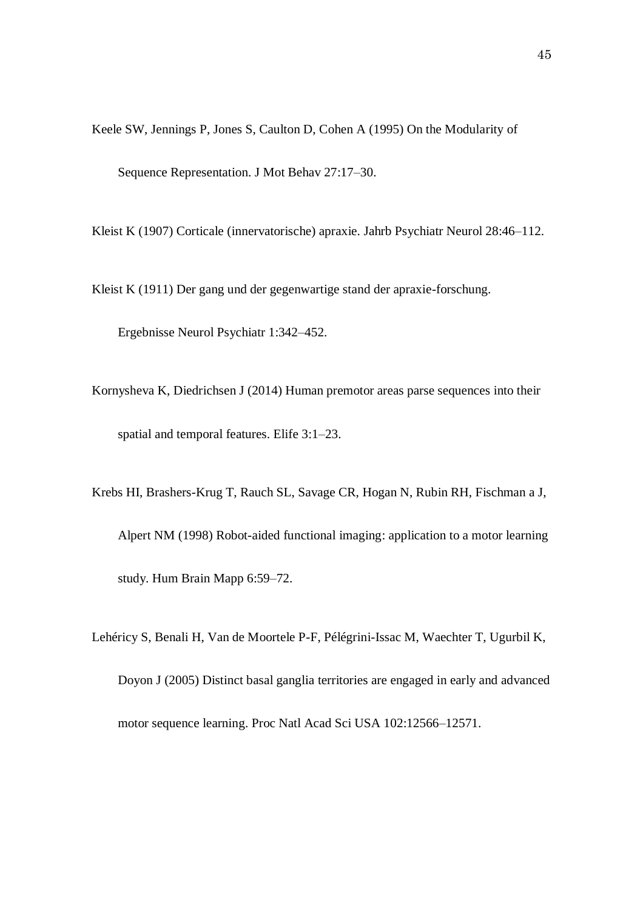Keele SW, Jennings P, Jones S, Caulton D, Cohen A (1995) On the Modularity of Sequence Representation. J Mot Behav 27:17–30.

Kleist K (1907) Corticale (innervatorische) apraxie. Jahrb Psychiatr Neurol 28:46–112.

Kleist K (1911) Der gang und der gegenwartige stand der apraxie-forschung.

Ergebnisse Neurol Psychiatr 1:342–452.

- Kornysheva K, Diedrichsen J (2014) Human premotor areas parse sequences into their spatial and temporal features. Elife 3:1–23.
- Krebs HI, Brashers-Krug T, Rauch SL, Savage CR, Hogan N, Rubin RH, Fischman a J, Alpert NM (1998) Robot-aided functional imaging: application to a motor learning study. Hum Brain Mapp 6:59–72.
- Lehéricy S, Benali H, Van de Moortele P-F, Pélégrini-Issac M, Waechter T, Ugurbil K, Doyon J (2005) Distinct basal ganglia territories are engaged in early and advanced motor sequence learning. Proc Natl Acad Sci USA 102:12566–12571.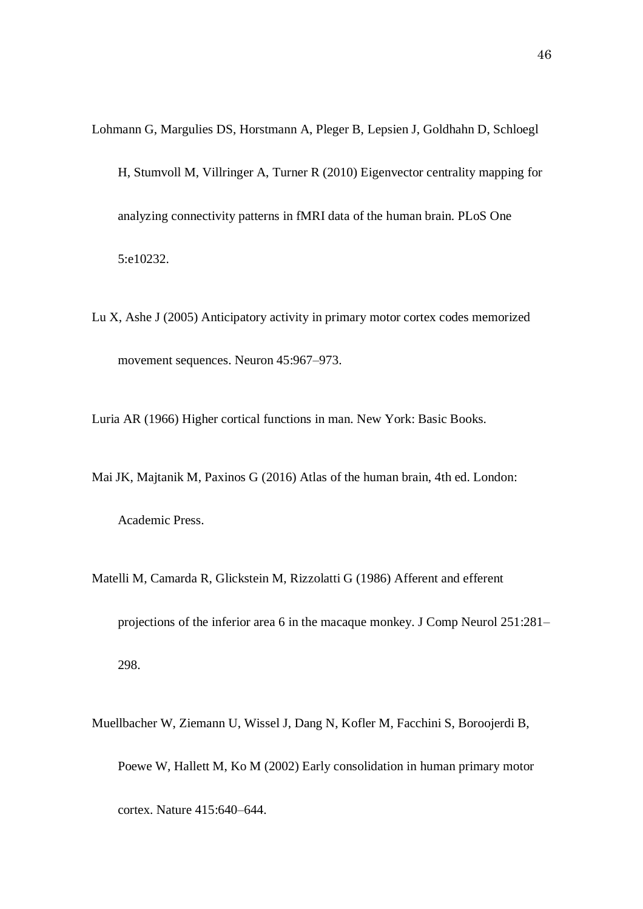Lohmann G, Margulies DS, Horstmann A, Pleger B, Lepsien J, Goldhahn D, Schloegl H, Stumvoll M, Villringer A, Turner R (2010) Eigenvector centrality mapping for analyzing connectivity patterns in fMRI data of the human brain. PLoS One 5:e10232.

Lu X, Ashe J (2005) Anticipatory activity in primary motor cortex codes memorized movement sequences. Neuron 45:967–973.

Luria AR (1966) Higher cortical functions in man. New York: Basic Books.

Mai JK, Majtanik M, Paxinos G (2016) Atlas of the human brain, 4th ed. London: Academic Press.

- Matelli M, Camarda R, Glickstein M, Rizzolatti G (1986) Afferent and efferent projections of the inferior area 6 in the macaque monkey. J Comp Neurol 251:281– 298.
- Muellbacher W, Ziemann U, Wissel J, Dang N, Kofler M, Facchini S, Boroojerdi B, Poewe W, Hallett M, Ko M (2002) Early consolidation in human primary motor cortex. Nature 415:640–644.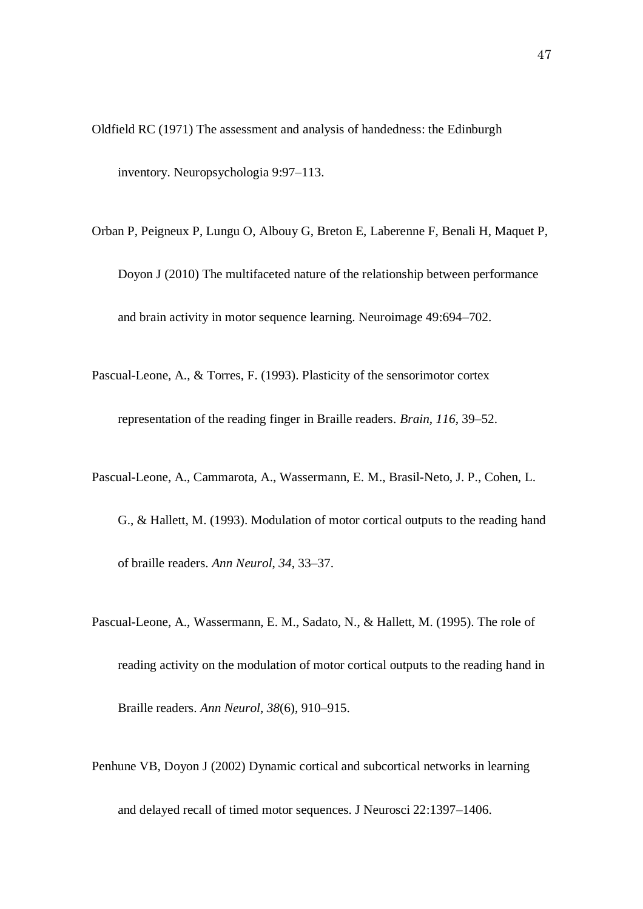- Oldfield RC (1971) The assessment and analysis of handedness: the Edinburgh inventory. Neuropsychologia 9:97–113.
- Orban P, Peigneux P, Lungu O, Albouy G, Breton E, Laberenne F, Benali H, Maquet P, Doyon J (2010) The multifaceted nature of the relationship between performance and brain activity in motor sequence learning. Neuroimage 49:694–702.
- Pascual-Leone, A., & Torres, F. (1993). Plasticity of the sensorimotor cortex representation of the reading finger in Braille readers. *Brain*, *116*, 39–52.
- Pascual-Leone, A., Cammarota, A., Wassermann, E. M., Brasil-Neto, J. P., Cohen, L. G., & Hallett, M. (1993). Modulation of motor cortical outputs to the reading hand of braille readers. *Ann Neurol*, *34*, 33–37.
- Pascual-Leone, A., Wassermann, E. M., Sadato, N., & Hallett, M. (1995). The role of reading activity on the modulation of motor cortical outputs to the reading hand in Braille readers. *Ann Neurol*, *38*(6), 910–915.
- Penhune VB, Doyon J (2002) Dynamic cortical and subcortical networks in learning and delayed recall of timed motor sequences. J Neurosci 22:1397–1406.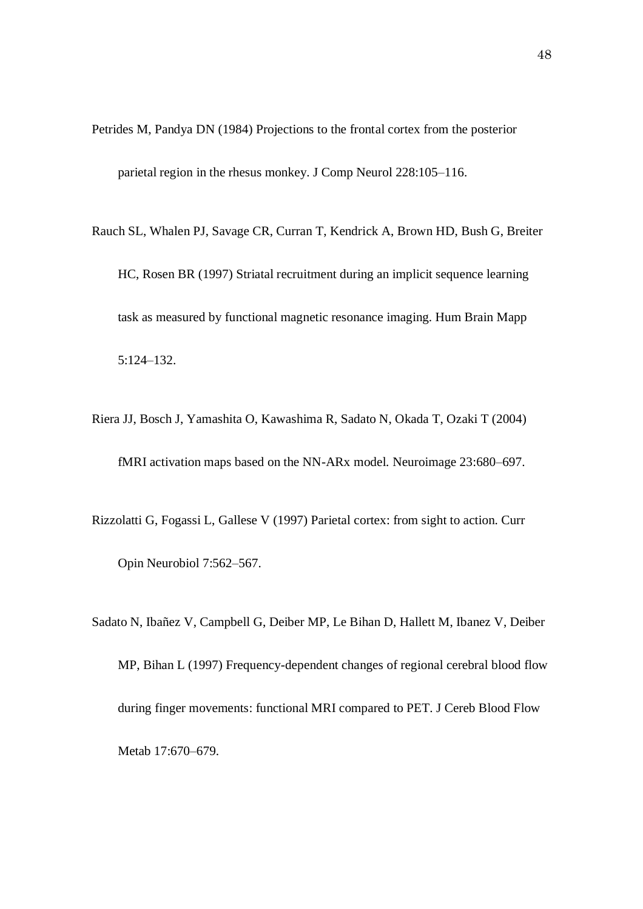- Petrides M, Pandya DN (1984) Projections to the frontal cortex from the posterior parietal region in the rhesus monkey. J Comp Neurol 228:105–116.
- Rauch SL, Whalen PJ, Savage CR, Curran T, Kendrick A, Brown HD, Bush G, Breiter HC, Rosen BR (1997) Striatal recruitment during an implicit sequence learning task as measured by functional magnetic resonance imaging. Hum Brain Mapp 5:124–132.
- Riera JJ, Bosch J, Yamashita O, Kawashima R, Sadato N, Okada T, Ozaki T (2004) fMRI activation maps based on the NN-ARx model. Neuroimage 23:680–697.
- Rizzolatti G, Fogassi L, Gallese V (1997) Parietal cortex: from sight to action. Curr Opin Neurobiol 7:562–567.
- Sadato N, Ibañez V, Campbell G, Deiber MP, Le Bihan D, Hallett M, Ibanez V, Deiber MP, Bihan L (1997) Frequency-dependent changes of regional cerebral blood flow during finger movements: functional MRI compared to PET. J Cereb Blood Flow Metab 17:670–679.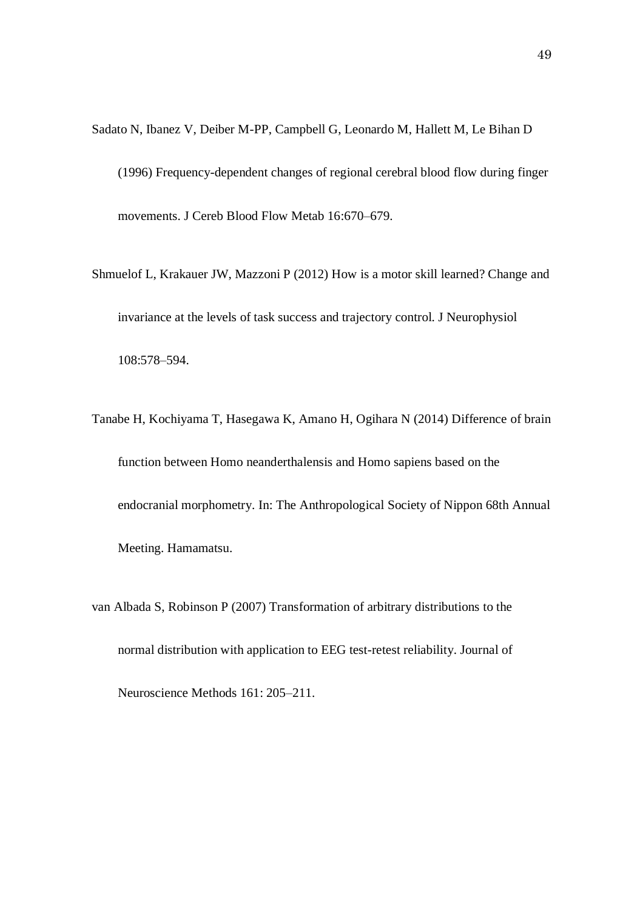- Sadato N, Ibanez V, Deiber M-PP, Campbell G, Leonardo M, Hallett M, Le Bihan D (1996) Frequency-dependent changes of regional cerebral blood flow during finger movements. J Cereb Blood Flow Metab 16:670–679.
- Shmuelof L, Krakauer JW, Mazzoni P (2012) How is a motor skill learned? Change and invariance at the levels of task success and trajectory control. J Neurophysiol 108:578–594.
- Tanabe H, Kochiyama T, Hasegawa K, Amano H, Ogihara N (2014) Difference of brain function between Homo neanderthalensis and Homo sapiens based on the endocranial morphometry. In: The Anthropological Society of Nippon 68th Annual Meeting. Hamamatsu.
- van Albada S, Robinson P (2007) Transformation of arbitrary distributions to the normal distribution with application to EEG test-retest reliability. Journal of Neuroscience Methods 161: 205–211.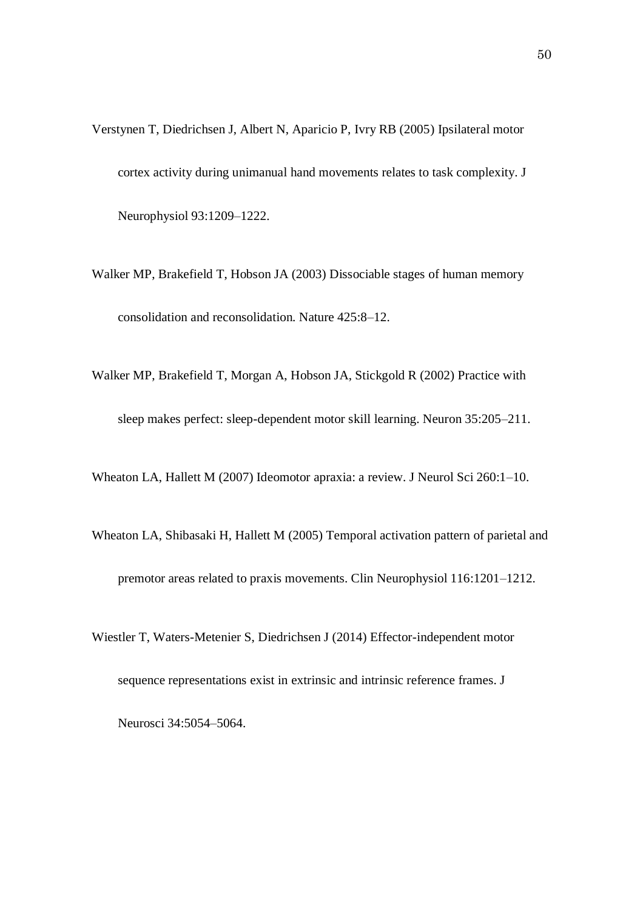- Verstynen T, Diedrichsen J, Albert N, Aparicio P, Ivry RB (2005) Ipsilateral motor cortex activity during unimanual hand movements relates to task complexity. J Neurophysiol 93:1209–1222.
- Walker MP, Brakefield T, Hobson JA (2003) Dissociable stages of human memory consolidation and reconsolidation. Nature 425:8–12.
- Walker MP, Brakefield T, Morgan A, Hobson JA, Stickgold R (2002) Practice with sleep makes perfect: sleep-dependent motor skill learning. Neuron 35:205–211.

Wheaton LA, Hallett M (2007) Ideomotor apraxia: a review. J Neurol Sci 260:1–10.

- Wheaton LA, Shibasaki H, Hallett M (2005) Temporal activation pattern of parietal and premotor areas related to praxis movements. Clin Neurophysiol 116:1201–1212.
- Wiestler T, Waters-Metenier S, Diedrichsen J (2014) Effector-independent motor sequence representations exist in extrinsic and intrinsic reference frames. J Neurosci 34:5054–5064.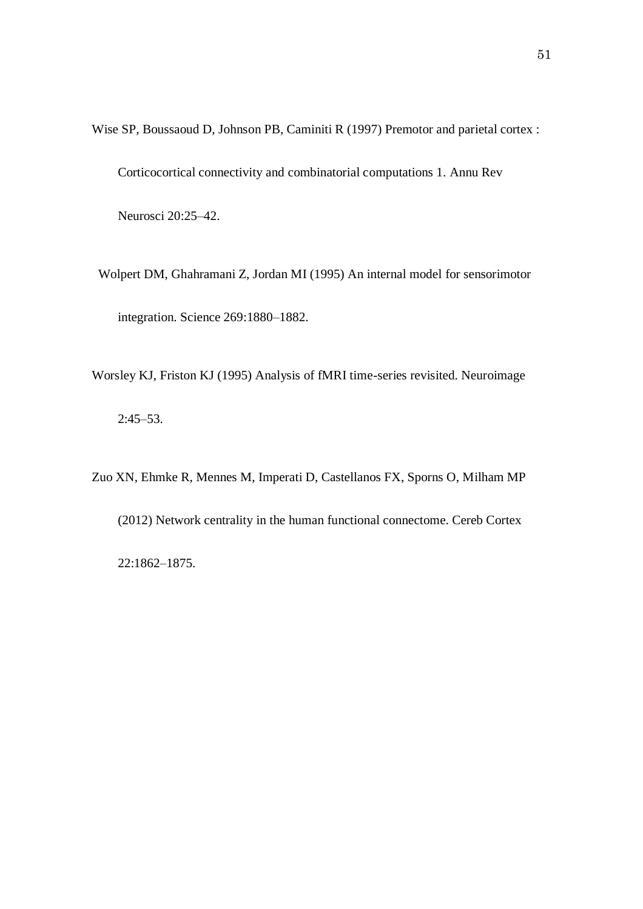Wise SP, Boussaoud D, Johnson PB, Caminiti R (1997) Premotor and parietal cortex : Corticocortical connectivity and combinatorial computations 1. Annu Rev Neurosci 20:25–42.

Wolpert DM, Ghahramani Z, Jordan MI (1995) An internal model for sensorimotor integration. Science 269:1880–1882.

Worsley KJ, Friston KJ (1995) Analysis of fMRI time-series revisited. Neuroimage 2:45–53.

Zuo XN, Ehmke R, Mennes M, Imperati D, Castellanos FX, Sporns O, Milham MP (2012) Network centrality in the human functional connectome. Cereb Cortex 22:1862–1875.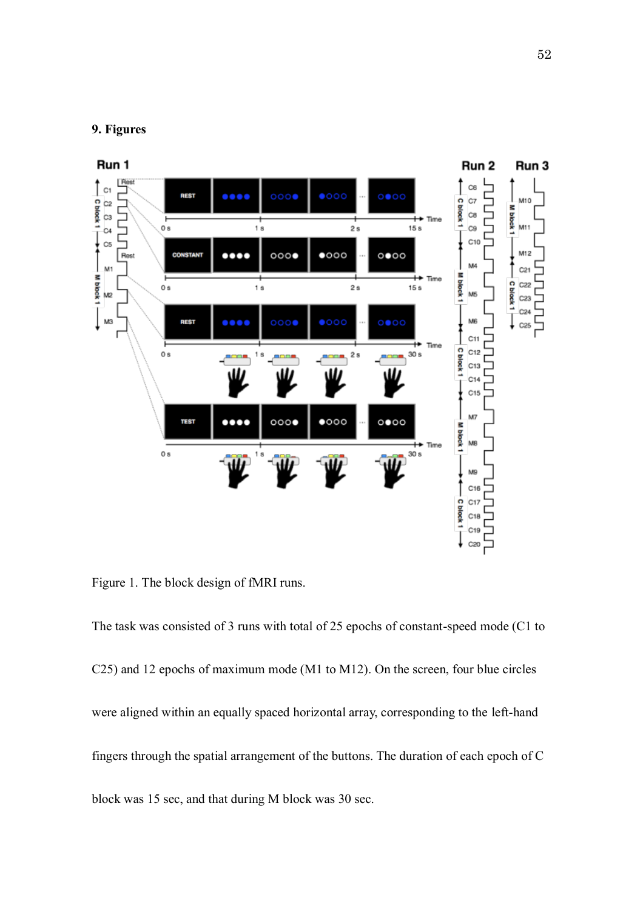## **9. Figures**



Figure 1. The block design of fMRI runs.

The task was consisted of 3 runs with total of 25 epochs of constant-speed mode (C1 to C25) and 12 epochs of maximum mode (M1 to M12). On the screen, four blue circles were aligned within an equally spaced horizontal array, corresponding to the left-hand fingers through the spatial arrangement of the buttons. The duration of each epoch of C block was 15 sec, and that during M block was 30 sec.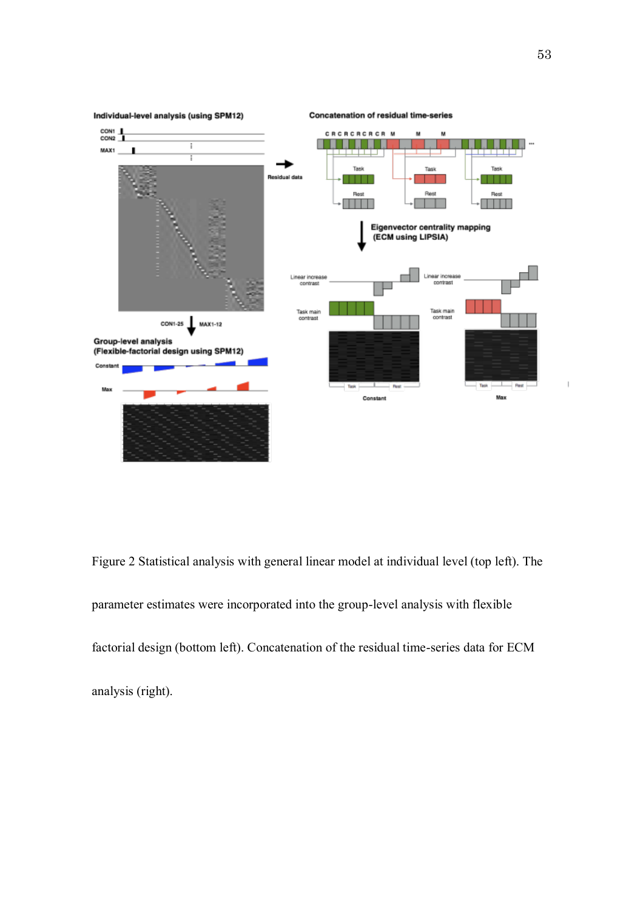

Figure 2 Statistical analysis with general linear model at individual level (top left). The parameter estimates were incorporated into the group-level analysis with flexible factorial design (bottom left). Concatenation of the residual time-series data for ECM analysis (right).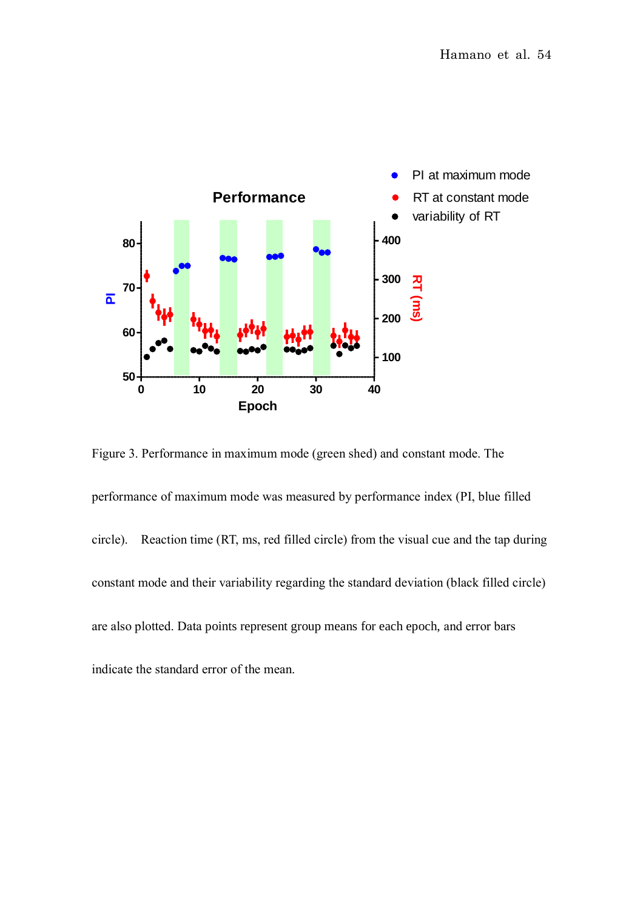

Figure 3. Performance in maximum mode (green shed) and constant mode. The

performance of maximum mode was measured by performance index (PI, blue filled circle). Reaction time (RT, ms, red filled circle) from the visual cue and the tap during constant mode and their variability regarding the standard deviation (black filled circle) are also plotted. Data points represent group means for each epoch, and error bars indicate the standard error of the mean.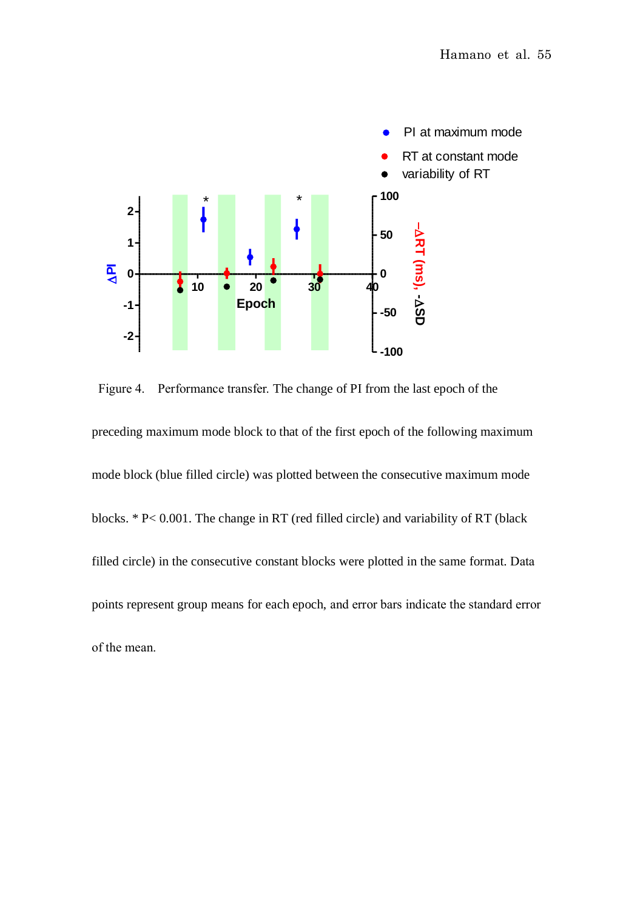

Figure 4. Performance transfer. The change of PI from the last epoch of the preceding maximum mode block to that of the first epoch of the following maximum mode block (blue filled circle) was plotted between the consecutive maximum mode blocks. \* P< 0.001. The change in RT (red filled circle) and variability of RT (black filled circle) in the consecutive constant blocks were plotted in the same format. Data points represent group means for each epoch, and error bars indicate the standard error of the mean.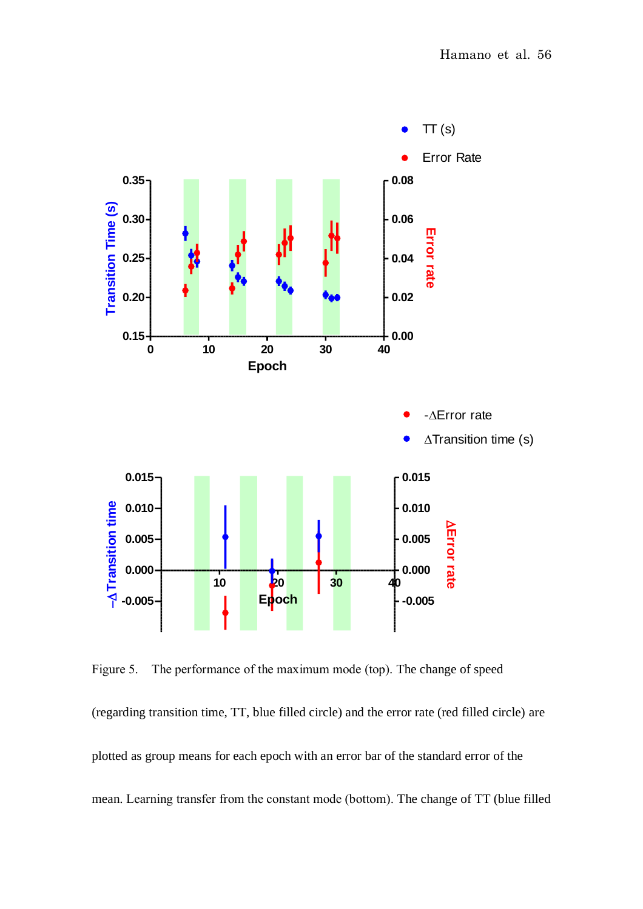

Figure 5. The performance of the maximum mode (top). The change of speed

(regarding transition time, TT, blue filled circle) and the error rate (red filled circle) are plotted as group means for each epoch with an error bar of the standard error of the mean. Learning transfer from the constant mode (bottom). The change of TT (blue filled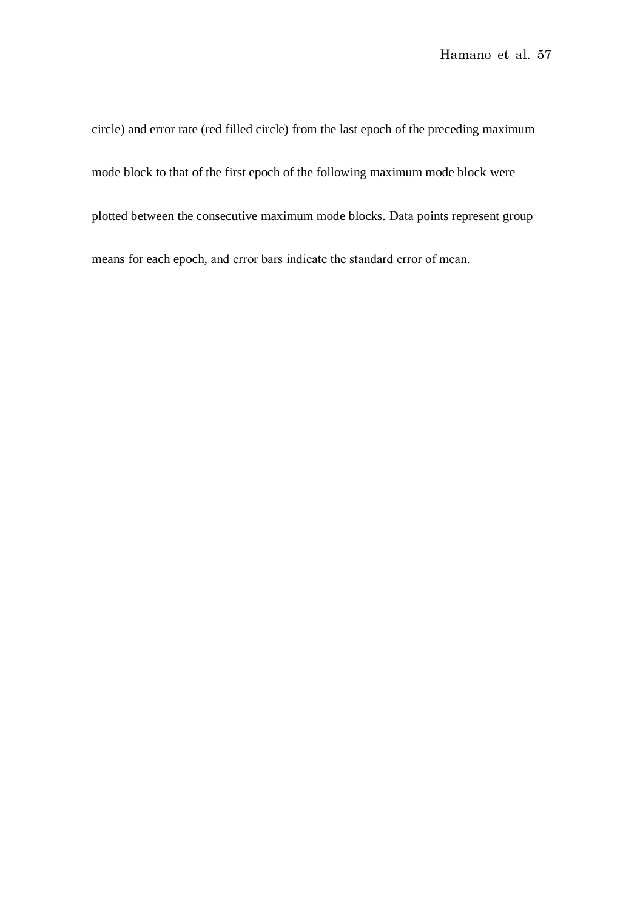circle) and error rate (red filled circle) from the last epoch of the preceding maximum mode block to that of the first epoch of the following maximum mode block were plotted between the consecutive maximum mode blocks. Data points represent group means for each epoch, and error bars indicate the standard error of mean.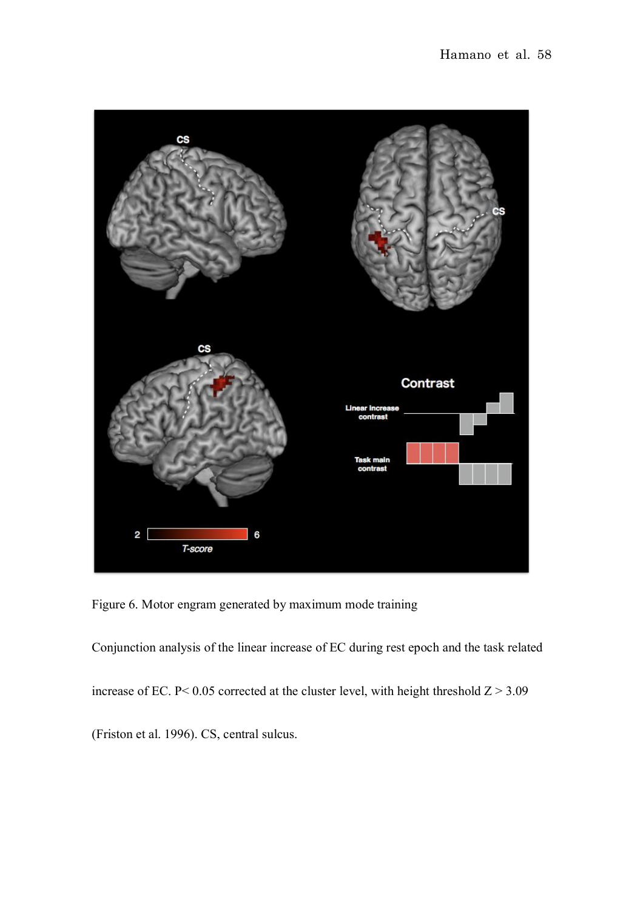

Figure 6. Motor engram generated by maximum mode training

Conjunction analysis of the linear increase of EC during rest epoch and the task related

increase of EC. P< 0.05 corrected at the cluster level, with height threshold  $Z > 3.09$ 

(Friston et al. 1996). CS, central sulcus.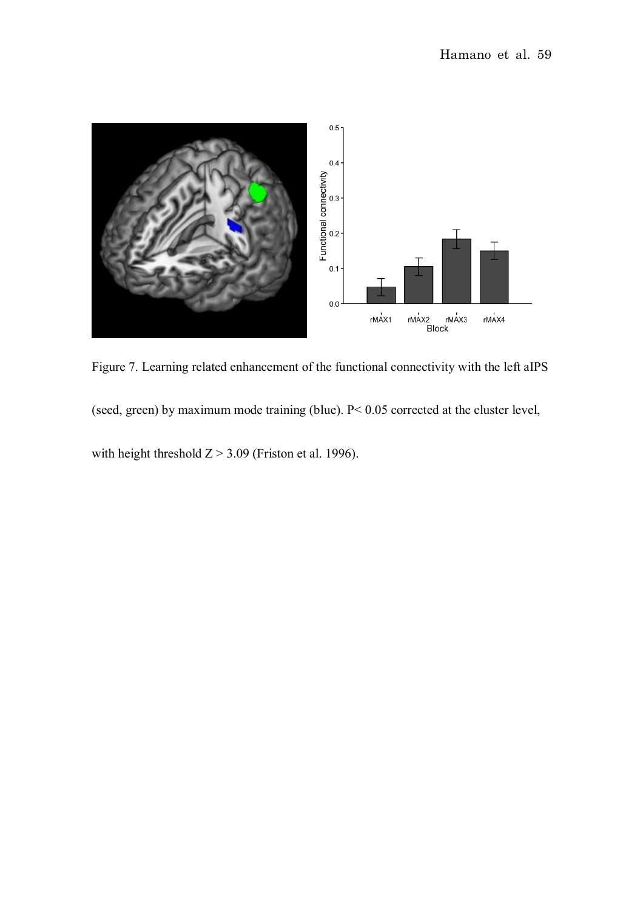

Figure 7. Learning related enhancement of the functional connectivity with the left aIPS

(seed, green) by maximum mode training (blue). P< 0.05 corrected at the cluster level,

with height threshold  $Z > 3.09$  (Friston et al. 1996).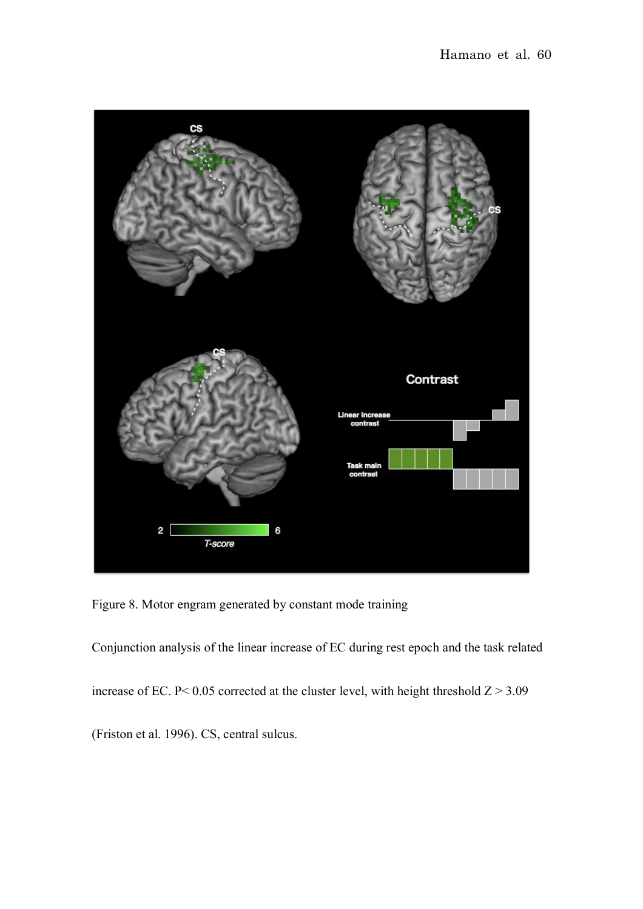

Figure 8. Motor engram generated by constant mode training

Conjunction analysis of the linear increase of EC during rest epoch and the task related increase of EC. P< 0.05 corrected at the cluster level, with height threshold  $Z > 3.09$ (Friston et al. 1996). CS, central sulcus.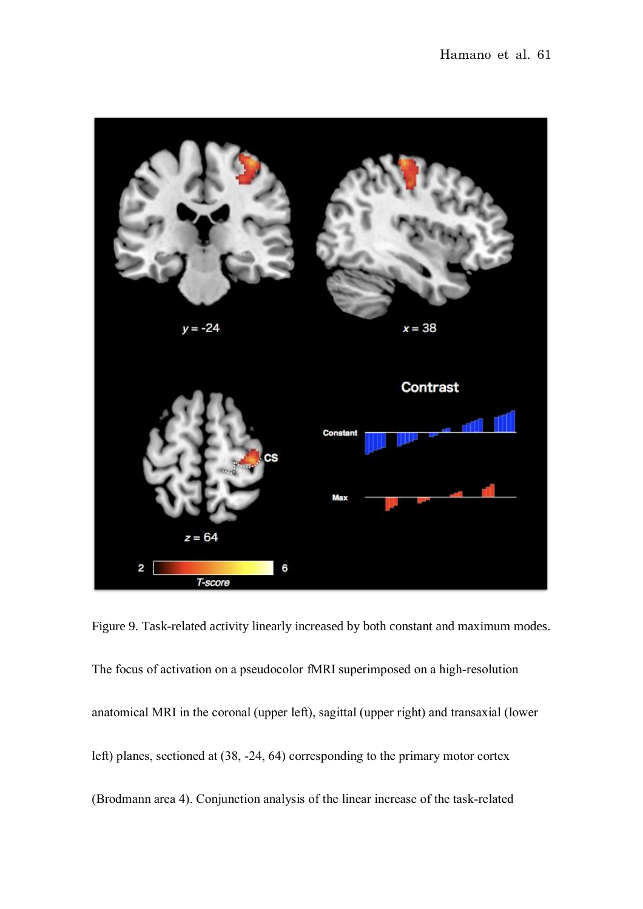

Figure 9. Task-related activity linearly increased by both constant and maximum modes. The focus of activation on a pseudocolor fMRI superimposed on a high-resolution anatomical MRI in the coronal (upper left), sagittal (upper right) and transaxial (lower left) planes, sectioned at (38, -24, 64) corresponding to the primary motor cortex (Brodmann area 4). Conjunction analysis of the linear increase of the task-related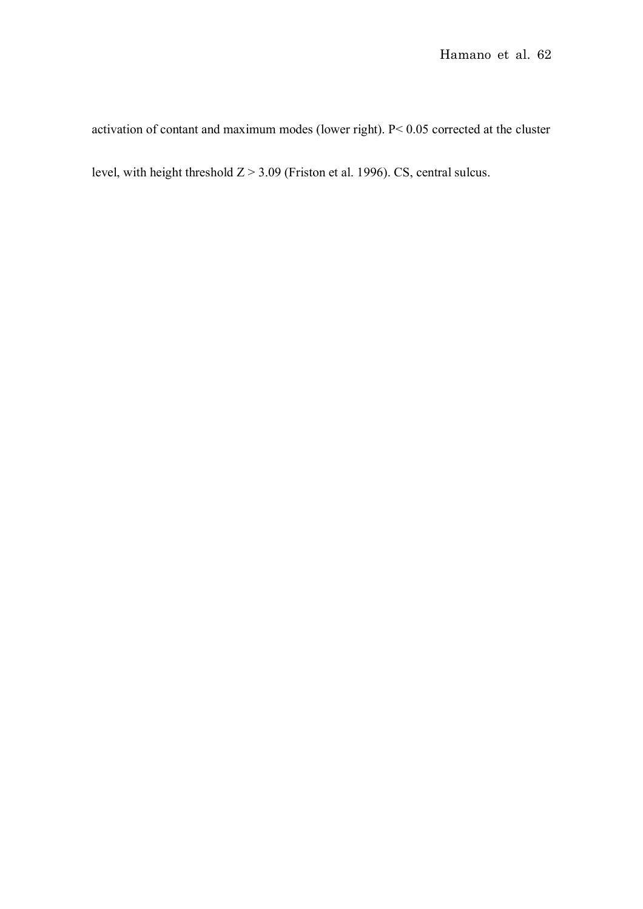activation of contant and maximum modes (lower right). P< 0.05 corrected at the cluster level, with height threshold  $Z > 3.09$  (Friston et al. 1996). CS, central sulcus.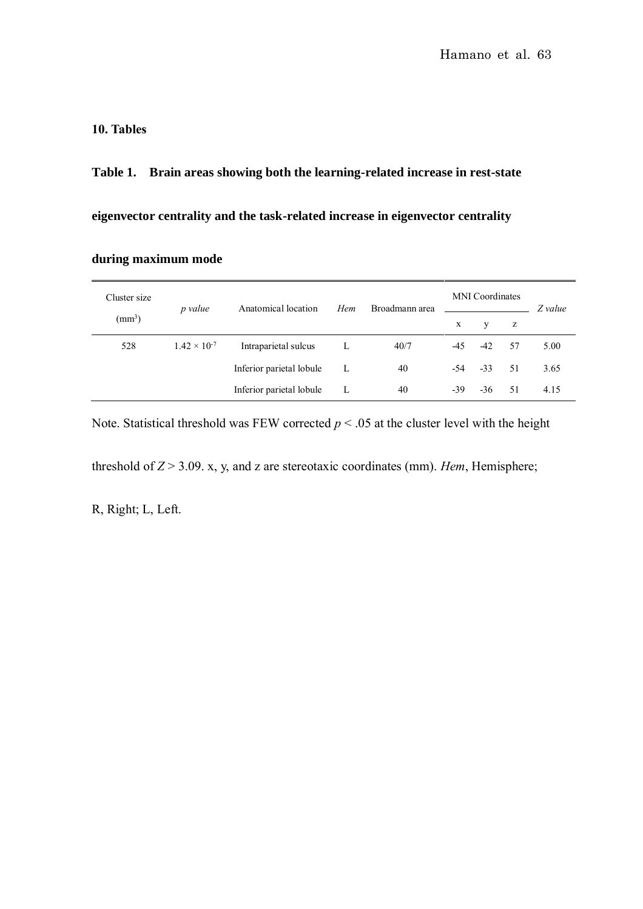## **10. Tables**

**Table 1. Brain areas showing both the learning-related increase in rest-state** 

**eigenvector centrality and the task-related increase in eigenvector centrality** 

**during maximum mode**

| Cluster size    | p value               | Anatomical location      | Hem | Broadmann area | <b>MNI</b> Coordinates |       |     | Z value |
|-----------------|-----------------------|--------------------------|-----|----------------|------------------------|-------|-----|---------|
| $\text{mm}^3$ ) |                       |                          |     |                | X                      | V     | z   |         |
| 528             | $1.42 \times 10^{-7}$ | Intraparietal sulcus     |     | 40/7           | -45                    | -42   | 57  | 5.00    |
|                 |                       | Inferior parietal lobule | L   | 40             | -54                    | $-33$ | .51 | 3.65    |
|                 |                       | Inferior parietal lobule | L   | 40             | $-39$                  | $-36$ | 51  | 4.15    |

Note. Statistical threshold was FEW corrected  $p < .05$  at the cluster level with the height

threshold of  $Z > 3.09$ . x, y, and z are stereotaxic coordinates (mm). *Hem*, Hemisphere;

R, Right; L, Left.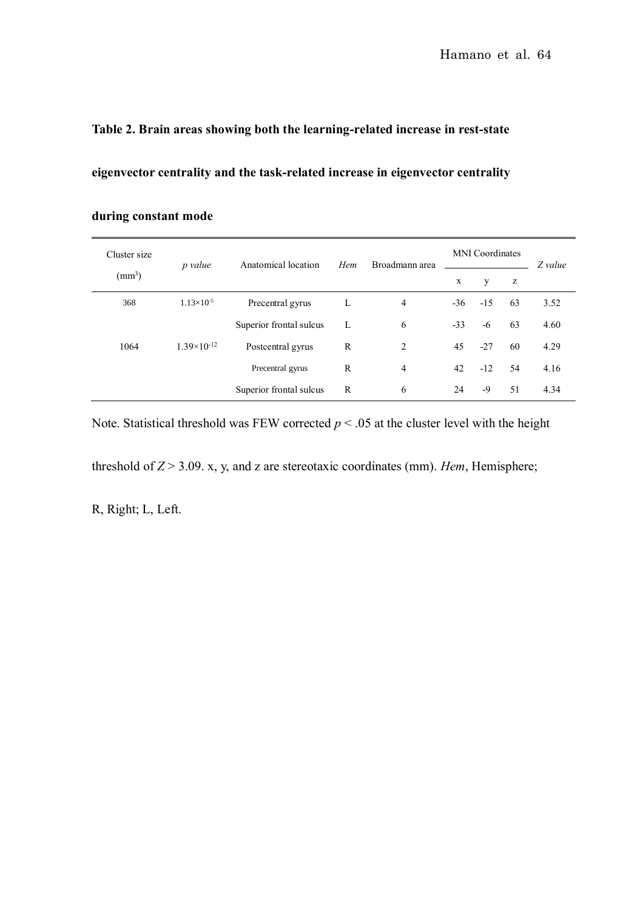# **Table 2. Brain areas showing both the learning-related increase in rest-state**

**eigenvector centrality and the task-related increase in eigenvector centrality** 

| Cluster size    | p value              | Anatomical location     | Hem          | Broadmann area | <b>MNI</b> Coordinates |       |    | Z value |
|-----------------|----------------------|-------------------------|--------------|----------------|------------------------|-------|----|---------|
| $\text{(mm)}^3$ |                      |                         |              |                | $\mathbf X$            | У     | z  |         |
| 368             | $1.13\times10^{-5}$  | Precentral gyrus        | L            | $\overline{4}$ | -36                    | $-15$ | 63 | 3.52    |
|                 |                      | Superior frontal sulcus | L            | 6              | $-33$                  | -6    | 63 | 4.60    |
| 1064            | $1.39\times10^{-12}$ | Postcentral gyrus       | $\mathbb{R}$ | 2              | 45                     | $-27$ | 60 | 4.29    |
|                 |                      | Precentral gyrus        | $\mathbb{R}$ | $\overline{4}$ | 42                     | $-12$ | 54 | 4.16    |
|                 |                      | Superior frontal sulcus | $\mathbb{R}$ | 6              | 24                     | -9    | 51 | 4.34    |

# **during constant mode**

Note. Statistical threshold was FEW corrected  $p < .05$  at the cluster level with the height

threshold of  $Z > 3.09$ . x, y, and z are stereotaxic coordinates (mm). *Hem*, Hemisphere;

R, Right; L, Left.